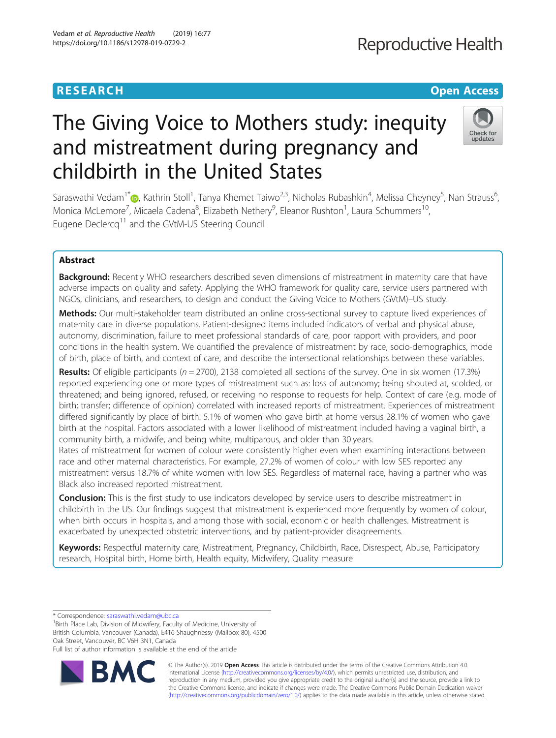## Reproductive Health

### **RESEARCH CHE Open Access**

### Check for updates

# The Giving Voice to Mothers study: inequity and mistreatment during pregnancy and childbirth in the United States

Saraswathi Vedam<sup>1\*</sup>@[,](http://orcid.org/0000-0001-6396-3638) Kathrin Stoll<sup>1</sup>, Tanya Khemet Taiwo<sup>2,3</sup>, Nicholas Rubashkin<sup>4</sup>, Melissa Cheyney<sup>5</sup>, Nan Strauss<sup>6</sup> , Monica McLemore<sup>7</sup>, Micaela Cadena<sup>8</sup>, Elizabeth Nethery<sup>9</sup>, Eleanor Rushton<sup>1</sup>, Laura Schummers<sup>10</sup>, Eugene Declercq<sup>11</sup> and the GVtM-US Steering Council

#### Abstract

**Background:** Recently WHO researchers described seven dimensions of mistreatment in maternity care that have adverse impacts on quality and safety. Applying the WHO framework for quality care, service users partnered with NGOs, clinicians, and researchers, to design and conduct the Giving Voice to Mothers (GVtM)–US study.

Methods: Our multi-stakeholder team distributed an online cross-sectional survey to capture lived experiences of maternity care in diverse populations. Patient-designed items included indicators of verbal and physical abuse, autonomy, discrimination, failure to meet professional standards of care, poor rapport with providers, and poor conditions in the health system. We quantified the prevalence of mistreatment by race, socio-demographics, mode of birth, place of birth, and context of care, and describe the intersectional relationships between these variables.

Results: Of eligible participants ( $n = 2700$ ), 2138 completed all sections of the survey. One in six women (17.3%) reported experiencing one or more types of mistreatment such as: loss of autonomy; being shouted at, scolded, or threatened; and being ignored, refused, or receiving no response to requests for help. Context of care (e.g. mode of birth; transfer; difference of opinion) correlated with increased reports of mistreatment. Experiences of mistreatment differed significantly by place of birth: 5.1% of women who gave birth at home versus 28.1% of women who gave birth at the hospital. Factors associated with a lower likelihood of mistreatment included having a vaginal birth, a community birth, a midwife, and being white, multiparous, and older than 30 years.

Rates of mistreatment for women of colour were consistently higher even when examining interactions between race and other maternal characteristics. For example, 27.2% of women of colour with low SES reported any mistreatment versus 18.7% of white women with low SES. Regardless of maternal race, having a partner who was Black also increased reported mistreatment.

Conclusion: This is the first study to use indicators developed by service users to describe mistreatment in childbirth in the US. Our findings suggest that mistreatment is experienced more frequently by women of colour, when birth occurs in hospitals, and among those with social, economic or health challenges. Mistreatment is exacerbated by unexpected obstetric interventions, and by patient-provider disagreements.

Keywords: Respectful maternity care, Mistreatment, Pregnancy, Childbirth, Race, Disrespect, Abuse, Participatory research, Hospital birth, Home birth, Health equity, Midwifery, Quality measure

\* Correspondence: [saraswathi.vedam@ubc.ca](mailto:saraswathi.vedam@ubc.ca) <sup>1</sup>

<sup>1</sup>Birth Place Lab, Division of Midwifery, Faculty of Medicine, University of British Columbia, Vancouver (Canada), E416 Shaughnessy (Mailbox 80), 4500 Oak Street, Vancouver, BC V6H 3N1, Canada Full list of author information is available at the end of the article



© The Author(s). 2019 **Open Access** This article is distributed under the terms of the Creative Commons Attribution 4.0 International License [\(http://creativecommons.org/licenses/by/4.0/](http://creativecommons.org/licenses/by/4.0/)), which permits unrestricted use, distribution, and reproduction in any medium, provided you give appropriate credit to the original author(s) and the source, provide a link to the Creative Commons license, and indicate if changes were made. The Creative Commons Public Domain Dedication waiver [\(http://creativecommons.org/publicdomain/zero/1.0/](http://creativecommons.org/publicdomain/zero/1.0/)) applies to the data made available in this article, unless otherwise stated.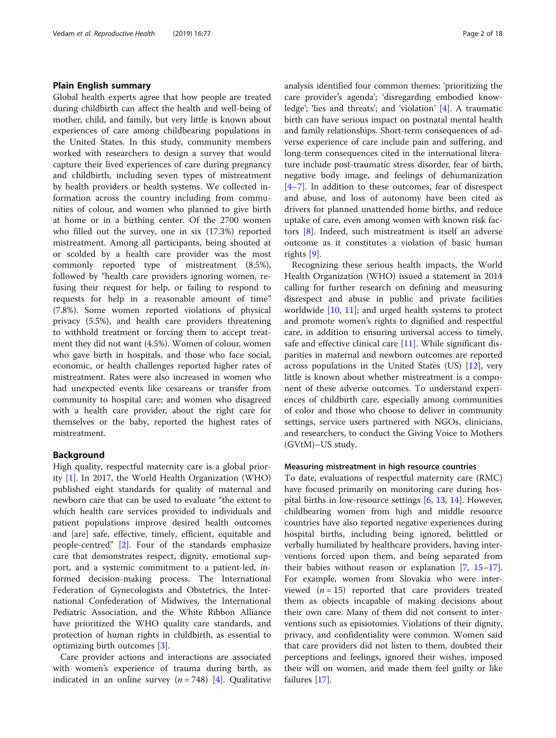#### Plain English summary

Global health experts agree that how people are treated during childbirth can affect the health and well-being of mother, child, and family, but very little is known about experiences of care among childbearing populations in the United States. In this study, community members worked with researchers to design a survey that would capture their lived experiences of care during pregnancy and childbirth, including seven types of mistreatment by health providers or health systems. We collected information across the country including from communities of colour, and women who planned to give birth at home or in a birthing center. Of the 2700 women who filled out the survey, one in six (17.3%) reported mistreatment. Among all participants, being shouted at or scolded by a health care provider was the most commonly reported type of mistreatment (8.5%), followed by "health care providers ignoring women, refusing their request for help, or failing to respond to requests for help in a reasonable amount of time" (7.8%). Some women reported violations of physical privacy (5.5%), and health care providers threatening to withhold treatment or forcing them to accept treatment they did not want (4.5%). Women of colour, women who gave birth in hospitals, and those who face social, economic, or health challenges reported higher rates of mistreatment. Rates were also increased in women who had unexpected events like cesareans or transfer from community to hospital care; and women who disagreed with a health care provider, about the right care for themselves or the baby, reported the highest rates of mistreatment.

#### Background

High quality, respectful maternity care is a global priority [\[1](#page-15-0)]. In 2017, the World Health Organization (WHO) published eight standards for quality of maternal and newborn care that can be used to evaluate "the extent to which health care services provided to individuals and patient populations improve desired health outcomes and [are] safe, effective, timely, efficient, equitable and people-centred" [\[2](#page-16-0)]. Four of the standards emphasize care that demonstrates respect, dignity, emotional support, and a systemic commitment to a patient-led, informed decision-making process. The International Federation of Gynecologists and Obstetrics, the International Confederation of Midwives, the International Pediatric Association, and the White Ribbon Alliance have prioritized the WHO quality care standards, and protection of human rights in childbirth, as essential to optimizing birth outcomes [[3\]](#page-16-0).

Care provider actions and interactions are associated with women's experience of trauma during birth, as indicated in an online survey  $(n = 748)$  [[4\]](#page-16-0). Qualitative analysis identified four common themes: 'prioritizing the care provider's agenda'; 'disregarding embodied knowledge'; 'lies and threats'; and 'violation' [\[4\]](#page-16-0). A traumatic birth can have serious impact on postnatal mental health and family relationships. Short-term consequences of adverse experience of care include pain and suffering, and long-term consequences cited in the international literature include post-traumatic stress disorder, fear of birth, negative body image, and feelings of dehumanization [[4](#page-16-0)–[7\]](#page-16-0). In addition to these outcomes, fear of disrespect and abuse, and loss of autonomy have been cited as drivers for planned unattended home births, and reduce uptake of care, even among women with known risk factors [\[8\]](#page-16-0). Indeed, such mistreatment is itself an adverse outcome as it constitutes a violation of basic human rights [\[9](#page-16-0)].

Recognizing these serious health impacts, the World Health Organization (WHO) issued a statement in 2014 calling for further research on defining and measuring disrespect and abuse in public and private facilities worldwide [[10,](#page-16-0) [11](#page-16-0)]; and urged health systems to protect and promote women's rights to dignified and respectful care, in addition to ensuring universal access to timely, safe and effective clinical care  $[11]$  $[11]$ . While significant disparities in maternal and newborn outcomes are reported across populations in the United States (US) [\[12\]](#page-16-0), very little is known about whether mistreatment is a component of these adverse outcomes. To understand experiences of childbirth care, especially among communities of color and those who choose to deliver in community settings, service users partnered with NGOs, clinicians, and researchers, to conduct the Giving Voice to Mothers (GVtM)–US study.

#### Measuring mistreatment in high resource countries

To date, evaluations of respectful maternity care (RMC) have focused primarily on monitoring care during hospital births in low-resource settings [[6,](#page-16-0) [13,](#page-16-0) [14](#page-16-0)]. However, childbearing women from high and middle resource countries have also reported negative experiences during hospital births, including being ignored, belittled or verbally humiliated by healthcare providers, having interventions forced upon them, and being separated from their babies without reason or explanation [[7,](#page-16-0) [15](#page-16-0)–[17](#page-16-0)]. For example, women from Slovakia who were interviewed ( $n = 15$ ) reported that care providers treated them as objects incapable of making decisions about their own care. Many of them did not consent to interventions such as episiotomies. Violations of their dignity, privacy, and confidentiality were common. Women said that care providers did not listen to them, doubted their perceptions and feelings, ignored their wishes, imposed their will on women, and made them feel guilty or like failures [\[17](#page-16-0)].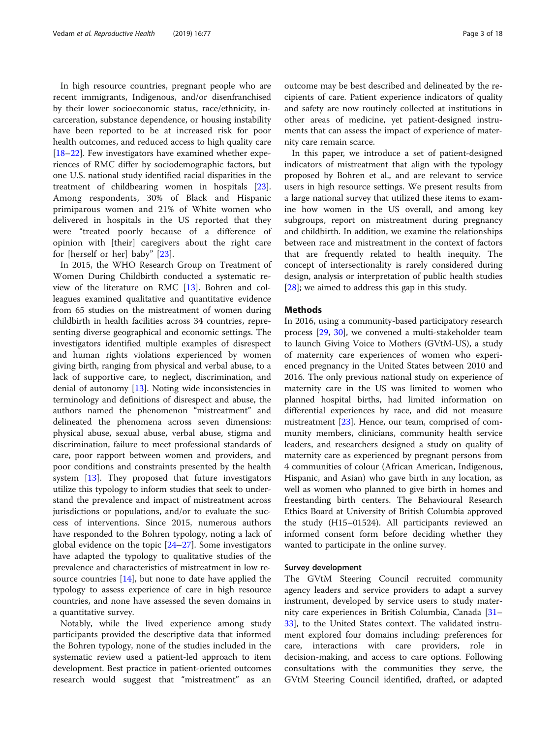In high resource countries, pregnant people who are recent immigrants, Indigenous, and/or disenfranchised by their lower socioeconomic status, race/ethnicity, incarceration, substance dependence, or housing instability have been reported to be at increased risk for poor health outcomes, and reduced access to high quality care [[18](#page-16-0)–[22](#page-16-0)]. Few investigators have examined whether experiences of RMC differ by sociodemographic factors, but one U.S. national study identified racial disparities in the treatment of childbearing women in hospitals [\[23](#page-16-0)]. Among respondents, 30% of Black and Hispanic primiparous women and 21% of White women who delivered in hospitals in the US reported that they were "treated poorly because of a difference of opinion with [their] caregivers about the right care for [herself or her] baby" [\[23](#page-16-0)].

In 2015, the WHO Research Group on Treatment of Women During Childbirth conducted a systematic review of the literature on RMC [[13](#page-16-0)]. Bohren and colleagues examined qualitative and quantitative evidence from 65 studies on the mistreatment of women during childbirth in health facilities across 34 countries, representing diverse geographical and economic settings. The investigators identified multiple examples of disrespect and human rights violations experienced by women giving birth, ranging from physical and verbal abuse, to a lack of supportive care, to neglect, discrimination, and denial of autonomy [\[13](#page-16-0)]. Noting wide inconsistencies in terminology and definitions of disrespect and abuse, the authors named the phenomenon "mistreatment" and delineated the phenomena across seven dimensions: physical abuse, sexual abuse, verbal abuse, stigma and discrimination, failure to meet professional standards of care, poor rapport between women and providers, and poor conditions and constraints presented by the health system [[13\]](#page-16-0). They proposed that future investigators utilize this typology to inform studies that seek to understand the prevalence and impact of mistreatment across jurisdictions or populations, and/or to evaluate the success of interventions. Since 2015, numerous authors have responded to the Bohren typology, noting a lack of global evidence on the topic [\[24](#page-16-0)–[27\]](#page-16-0). Some investigators have adapted the typology to qualitative studies of the prevalence and characteristics of mistreatment in low resource countries [\[14](#page-16-0)], but none to date have applied the typology to assess experience of care in high resource countries, and none have assessed the seven domains in a quantitative survey.

Notably, while the lived experience among study participants provided the descriptive data that informed the Bohren typology, none of the studies included in the systematic review used a patient-led approach to item development. Best practice in patient-oriented outcomes research would suggest that "mistreatment" as an

outcome may be best described and delineated by the recipients of care. Patient experience indicators of quality and safety are now routinely collected at institutions in other areas of medicine, yet patient-designed instruments that can assess the impact of experience of maternity care remain scarce.

In this paper, we introduce a set of patient-designed indicators of mistreatment that align with the typology proposed by Bohren et al., and are relevant to service users in high resource settings. We present results from a large national survey that utilized these items to examine how women in the US overall, and among key subgroups, report on mistreatment during pregnancy and childbirth. In addition, we examine the relationships between race and mistreatment in the context of factors that are frequently related to health inequity. The concept of intersectionality is rarely considered during design, analysis or interpretation of public health studies [[28\]](#page-16-0); we aimed to address this gap in this study.

#### Methods

In 2016, using a community-based participatory research process [\[29,](#page-16-0) [30\]](#page-16-0), we convened a multi-stakeholder team to launch Giving Voice to Mothers (GVtM-US), a study of maternity care experiences of women who experienced pregnancy in the United States between 2010 and 2016. The only previous national study on experience of maternity care in the US was limited to women who planned hospital births, had limited information on differential experiences by race, and did not measure mistreatment [[23\]](#page-16-0). Hence, our team, comprised of community members, clinicians, community health service leaders, and researchers designed a study on quality of maternity care as experienced by pregnant persons from 4 communities of colour (African American, Indigenous, Hispanic, and Asian) who gave birth in any location, as well as women who planned to give birth in homes and freestanding birth centers. The Behavioural Research Ethics Board at University of British Columbia approved the study (H15–01524). All participants reviewed an informed consent form before deciding whether they wanted to participate in the online survey.

#### Survey development

The GVtM Steering Council recruited community agency leaders and service providers to adapt a survey instrument, developed by service users to study maternity care experiences in British Columbia, Canada [[31](#page-16-0)– [33\]](#page-16-0), to the United States context. The validated instrument explored four domains including: preferences for care, interactions with care providers, role in decision-making, and access to care options. Following consultations with the communities they serve, the GVtM Steering Council identified, drafted, or adapted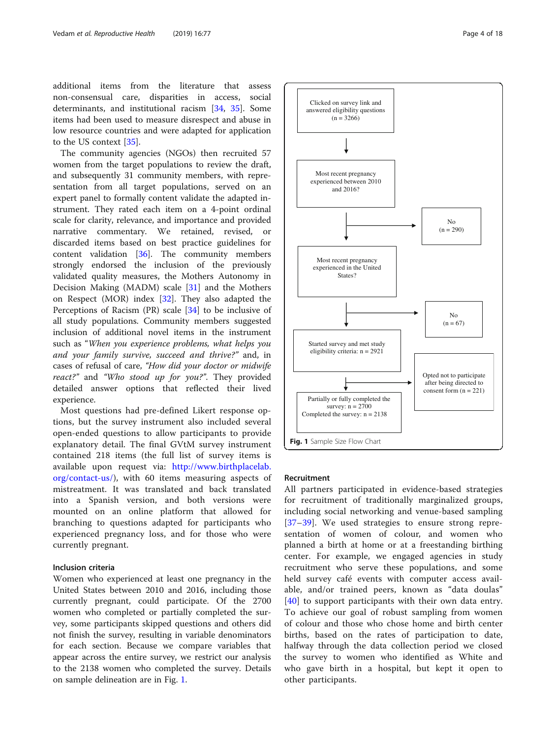additional items from the literature that assess non-consensual care, disparities in access, social determinants, and institutional racism [[34](#page-16-0), [35\]](#page-16-0). Some items had been used to measure disrespect and abuse in low resource countries and were adapted for application to the US context [[35](#page-16-0)].

The community agencies (NGOs) then recruited 57 women from the target populations to review the draft, and subsequently 31 community members, with representation from all target populations, served on an expert panel to formally content validate the adapted instrument. They rated each item on a 4-point ordinal scale for clarity, relevance, and importance and provided narrative commentary. We retained, revised, or discarded items based on best practice guidelines for content validation [\[36](#page-16-0)]. The community members strongly endorsed the inclusion of the previously validated quality measures, the Mothers Autonomy in Decision Making (MADM) scale [\[31\]](#page-16-0) and the Mothers on Respect (MOR) index [[32\]](#page-16-0). They also adapted the Perceptions of Racism (PR) scale [\[34](#page-16-0)] to be inclusive of all study populations. Community members suggested inclusion of additional novel items in the instrument such as "When you experience problems, what helps you and your family survive, succeed and thrive?" and, in cases of refusal of care, "How did your doctor or midwife react?" and "Who stood up for you?". They provided detailed answer options that reflected their lived experience.

Most questions had pre-defined Likert response options, but the survey instrument also included several open-ended questions to allow participants to provide explanatory detail. The final GVtM survey instrument contained 218 items (the full list of survey items is available upon request via: [http://www.birthplacelab.](http://www.birthplacelab.org/contact-us/) [org/contact-us/](http://www.birthplacelab.org/contact-us/)), with 60 items measuring aspects of mistreatment. It was translated and back translated into a Spanish version, and both versions were mounted on an online platform that allowed for branching to questions adapted for participants who experienced pregnancy loss, and for those who were currently pregnant.

#### Inclusion criteria

Women who experienced at least one pregnancy in the United States between 2010 and 2016, including those currently pregnant, could participate. Of the 2700 women who completed or partially completed the survey, some participants skipped questions and others did not finish the survey, resulting in variable denominators for each section. Because we compare variables that appear across the entire survey, we restrict our analysis to the 2138 women who completed the survey. Details on sample delineation are in Fig. 1.



#### Recruitment

All partners participated in evidence-based strategies for recruitment of traditionally marginalized groups, including social networking and venue-based sampling [[37](#page-16-0)–[39\]](#page-16-0). We used strategies to ensure strong representation of women of colour, and women who planned a birth at home or at a freestanding birthing center. For example, we engaged agencies in study recruitment who serve these populations, and some held survey café events with computer access available, and/or trained peers, known as "data doulas" [[40\]](#page-16-0) to support participants with their own data entry. To achieve our goal of robust sampling from women of colour and those who chose home and birth center births, based on the rates of participation to date, halfway through the data collection period we closed the survey to women who identified as White and who gave birth in a hospital, but kept it open to other participants.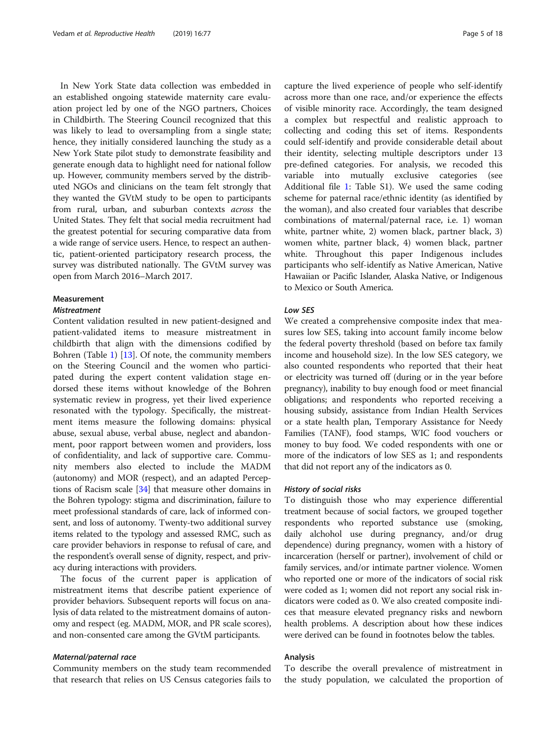In New York State data collection was embedded in an established ongoing statewide maternity care evaluation project led by one of the NGO partners, Choices in Childbirth. The Steering Council recognized that this was likely to lead to oversampling from a single state; hence, they initially considered launching the study as a New York State pilot study to demonstrate feasibility and generate enough data to highlight need for national follow up. However, community members served by the distributed NGOs and clinicians on the team felt strongly that they wanted the GVtM study to be open to participants from rural, urban, and suburban contexts across the United States. They felt that social media recruitment had the greatest potential for securing comparative data from a wide range of service users. Hence, to respect an authentic, patient-oriented participatory research process, the survey was distributed nationally. The GVtM survey was open from March 2016–March 2017.

#### **Measurement**

#### **Mistreatment**

Content validation resulted in new patient-designed and patient-validated items to measure mistreatment in childbirth that align with the dimensions codified by Bohren (Table [1\)](#page-5-0) [\[13\]](#page-16-0). Of note, the community members on the Steering Council and the women who participated during the expert content validation stage endorsed these items without knowledge of the Bohren systematic review in progress, yet their lived experience resonated with the typology. Specifically, the mistreatment items measure the following domains: physical abuse, sexual abuse, verbal abuse, neglect and abandonment, poor rapport between women and providers, loss of confidentiality, and lack of supportive care. Community members also elected to include the MADM (autonomy) and MOR (respect), and an adapted Perceptions of Racism scale [[34](#page-16-0)] that measure other domains in the Bohren typology: stigma and discrimination, failure to meet professional standards of care, lack of informed consent, and loss of autonomy. Twenty-two additional survey items related to the typology and assessed RMC, such as care provider behaviors in response to refusal of care, and the respondent's overall sense of dignity, respect, and privacy during interactions with providers.

The focus of the current paper is application of mistreatment items that describe patient experience of provider behaviors. Subsequent reports will focus on analysis of data related to the mistreatment domains of autonomy and respect (eg. MADM, MOR, and PR scale scores), and non-consented care among the GVtM participants.

#### Maternal/paternal race

Community members on the study team recommended that research that relies on US Census categories fails to capture the lived experience of people who self-identify across more than one race, and/or experience the effects of visible minority race. Accordingly, the team designed a complex but respectful and realistic approach to collecting and coding this set of items. Respondents could self-identify and provide considerable detail about their identity, selecting multiple descriptors under 13 pre-defined categories. For analysis, we recoded this variable into mutually exclusive categories (see Additional file [1](#page-15-0): Table S1). We used the same coding scheme for paternal race/ethnic identity (as identified by the woman), and also created four variables that describe combinations of maternal/paternal race, i.e. 1) woman white, partner white, 2) women black, partner black, 3) women white, partner black, 4) women black, partner white. Throughout this paper Indigenous includes participants who self-identify as Native American, Native Hawaiian or Pacific Islander, Alaska Native, or Indigenous to Mexico or South America.

#### Low SES

We created a comprehensive composite index that measures low SES, taking into account family income below the federal poverty threshold (based on before tax family income and household size). In the low SES category, we also counted respondents who reported that their heat or electricity was turned off (during or in the year before pregnancy), inability to buy enough food or meet financial obligations; and respondents who reported receiving a housing subsidy, assistance from Indian Health Services or a state health plan, Temporary Assistance for Needy Families (TANF), food stamps, WIC food vouchers or money to buy food. We coded respondents with one or more of the indicators of low SES as 1; and respondents that did not report any of the indicators as 0.

#### History of social risks

To distinguish those who may experience differential treatment because of social factors, we grouped together respondents who reported substance use (smoking, daily alchohol use during pregnancy, and/or drug dependence) during pregnancy, women with a history of incarceration (herself or partner), involvement of child or family services, and/or intimate partner violence. Women who reported one or more of the indicators of social risk were coded as 1; women did not report any social risk indicators were coded as 0. We also created composite indices that measure elevated pregnancy risks and newborn health problems. A description about how these indices were derived can be found in footnotes below the tables.

#### Analysis

To describe the overall prevalence of mistreatment in the study population, we calculated the proportion of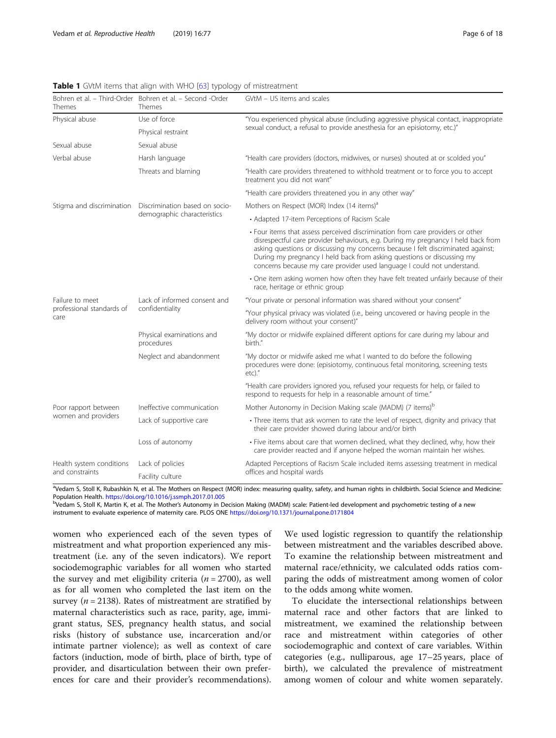| Themes                                               | Bohren et al. - Third-Order Bohren et al. - Second -Order<br>Themes                     | GVtM - US items and scales                                                                                                                                                                                                                                                                                                                                                                                   |  |  |  |  |
|------------------------------------------------------|-----------------------------------------------------------------------------------------|--------------------------------------------------------------------------------------------------------------------------------------------------------------------------------------------------------------------------------------------------------------------------------------------------------------------------------------------------------------------------------------------------------------|--|--|--|--|
| Physical abuse                                       | Use of force                                                                            | "You experienced physical abuse (including aggressive physical contact, inappropriate                                                                                                                                                                                                                                                                                                                        |  |  |  |  |
|                                                      | Physical restraint                                                                      | sexual conduct, a refusal to provide anesthesia for an episiotomy, etc.)"                                                                                                                                                                                                                                                                                                                                    |  |  |  |  |
| Sexual abuse                                         | Sexual abuse                                                                            |                                                                                                                                                                                                                                                                                                                                                                                                              |  |  |  |  |
| Verbal abuse                                         | Harsh language                                                                          | "Health care providers (doctors, midwives, or nurses) shouted at or scolded you"                                                                                                                                                                                                                                                                                                                             |  |  |  |  |
|                                                      | Threats and blaming                                                                     | "Health care providers threatened to withhold treatment or to force you to accept<br>treatment you did not want"                                                                                                                                                                                                                                                                                             |  |  |  |  |
|                                                      |                                                                                         | "Health care providers threatened you in any other way"                                                                                                                                                                                                                                                                                                                                                      |  |  |  |  |
|                                                      | Stigma and discrimination Discrimination based on socio-<br>demographic characteristics | Mothers on Respect (MOR) Index (14 items) <sup>a</sup>                                                                                                                                                                                                                                                                                                                                                       |  |  |  |  |
|                                                      |                                                                                         | • Adapted 17-item Perceptions of Racism Scale                                                                                                                                                                                                                                                                                                                                                                |  |  |  |  |
|                                                      |                                                                                         | • Four items that assess perceived discrimination from care providers or other<br>disrespectful care provider behaviours, e.g. During my pregnancy I held back from<br>asking questions or discussing my concerns because I felt discriminated against;<br>During my pregnancy I held back from asking questions or discussing my<br>concerns because my care provider used language I could not understand. |  |  |  |  |
|                                                      |                                                                                         | . One item asking women how often they have felt treated unfairly because of their<br>race, heritage or ethnic group                                                                                                                                                                                                                                                                                         |  |  |  |  |
| Failure to meet<br>professional standards of<br>care | Lack of informed consent and                                                            | "Your private or personal information was shared without your consent"                                                                                                                                                                                                                                                                                                                                       |  |  |  |  |
|                                                      | confidentiality                                                                         | "Your physical privacy was violated (i.e., being uncovered or having people in the<br>delivery room without your consent)"                                                                                                                                                                                                                                                                                   |  |  |  |  |
|                                                      | Physical examinations and<br>procedures                                                 | "My doctor or midwife explained different options for care during my labour and<br>birth."                                                                                                                                                                                                                                                                                                                   |  |  |  |  |
|                                                      | Neglect and abandonment                                                                 | "My doctor or midwife asked me what I wanted to do before the following<br>procedures were done: (episiotomy, continuous fetal monitoring, screening tests<br>etc).''                                                                                                                                                                                                                                        |  |  |  |  |
|                                                      |                                                                                         | "Health care providers ignored you, refused your requests for help, or failed to<br>respond to requests for help in a reasonable amount of time."                                                                                                                                                                                                                                                            |  |  |  |  |
| Poor rapport between                                 | Ineffective communication                                                               | Mother Autonomy in Decision Making scale (MADM) (7 items) <sup>b</sup>                                                                                                                                                                                                                                                                                                                                       |  |  |  |  |
| women and providers                                  | Lack of supportive care                                                                 | • Three items that ask women to rate the level of respect, dignity and privacy that<br>their care provider showed during labour and/or birth                                                                                                                                                                                                                                                                 |  |  |  |  |
|                                                      | Loss of autonomy                                                                        | • Five items about care that women declined, what they declined, why, how their<br>care provider reacted and if anyone helped the woman maintain her wishes.                                                                                                                                                                                                                                                 |  |  |  |  |
| Health system conditions                             | Lack of policies                                                                        | Adapted Perceptions of Racism Scale included items assessing treatment in medical                                                                                                                                                                                                                                                                                                                            |  |  |  |  |
| and constraints                                      | Facility culture                                                                        | offices and hospital wards                                                                                                                                                                                                                                                                                                                                                                                   |  |  |  |  |

#### <span id="page-5-0"></span>Table 1 GVtM items that align with WHO [\[63\]](#page-17-0) typology of mistreatment

a<br>Wedam S, Stoll K, Rubashkin N, et al. The Mothers on Respect (MOR) index: measuring quality, safety, and human rights in childbirth. Social Science and Medicine: Population Health. <https://doi.org/10.1016/j.ssmph.2017.01.005><br><sup>b</sup>Vedam S, Stoll K, Martin K, et al. The Mother's Autonomy in Decision Making (MADM) scale: Patient-led development and psychometric testing of a new

instrument to evaluate experience of maternity care. PLOS ONE <https://doi.org/10.1371/journal.pone.0171804>

women who experienced each of the seven types of mistreatment and what proportion experienced any mistreatment (i.e. any of the seven indicators). We report sociodemographic variables for all women who started the survey and met eligibility criteria ( $n = 2700$ ), as well as for all women who completed the last item on the survey ( $n = 2138$ ). Rates of mistreatment are stratified by maternal characteristics such as race, parity, age, immigrant status, SES, pregnancy health status, and social risks (history of substance use, incarceration and/or intimate partner violence); as well as context of care factors (induction, mode of birth, place of birth, type of provider, and disarticulation between their own preferences for care and their provider's recommendations).

We used logistic regression to quantify the relationship between mistreatment and the variables described above. To examine the relationship between mistreatment and maternal race/ethnicity, we calculated odds ratios comparing the odds of mistreatment among women of color to the odds among white women.

To elucidate the intersectional relationships between maternal race and other factors that are linked to mistreatment, we examined the relationship between race and mistreatment within categories of other sociodemographic and context of care variables. Within categories (e.g., nulliparous, age 17–25 years, place of birth), we calculated the prevalence of mistreatment among women of colour and white women separately.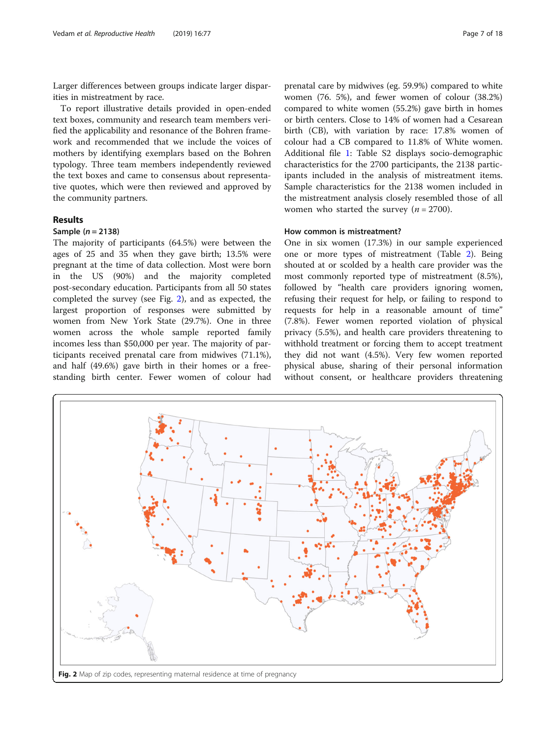Larger differences between groups indicate larger disparities in mistreatment by race.

To report illustrative details provided in open-ended text boxes, community and research team members verified the applicability and resonance of the Bohren framework and recommended that we include the voices of mothers by identifying exemplars based on the Bohren typology. Three team members independently reviewed the text boxes and came to consensus about representative quotes, which were then reviewed and approved by the community partners.

#### Results

#### Sample  $(n = 2138)$

The majority of participants (64.5%) were between the ages of 25 and 35 when they gave birth; 13.5% were pregnant at the time of data collection. Most were born in the US (90%) and the majority completed post-secondary education. Participants from all 50 states completed the survey (see Fig. 2), and as expected, the largest proportion of responses were submitted by women from New York State (29.7%). One in three women across the whole sample reported family incomes less than \$50,000 per year. The majority of participants received prenatal care from midwives (71.1%), and half (49.6%) gave birth in their homes or a freestanding birth center. Fewer women of colour had

prenatal care by midwives (eg. 59.9%) compared to white women (76. 5%), and fewer women of colour (38.2%) compared to white women (55.2%) gave birth in homes or birth centers. Close to 14% of women had a Cesarean birth (CB), with variation by race: 17.8% women of colour had a CB compared to 11.8% of White women. Additional file [1](#page-15-0): Table S2 displays socio-demographic characteristics for the 2700 participants, the 2138 participants included in the analysis of mistreatment items. Sample characteristics for the 2138 women included in the mistreatment analysis closely resembled those of all women who started the survey ( $n = 2700$ ).

#### How common is mistreatment?

One in six women (17.3%) in our sample experienced one or more types of mistreatment (Table [2\)](#page-7-0). Being shouted at or scolded by a health care provider was the most commonly reported type of mistreatment (8.5%), followed by "health care providers ignoring women, refusing their request for help, or failing to respond to requests for help in a reasonable amount of time" (7.8%). Fewer women reported violation of physical privacy (5.5%), and health care providers threatening to withhold treatment or forcing them to accept treatment they did not want (4.5%). Very few women reported physical abuse, sharing of their personal information without consent, or healthcare providers threatening

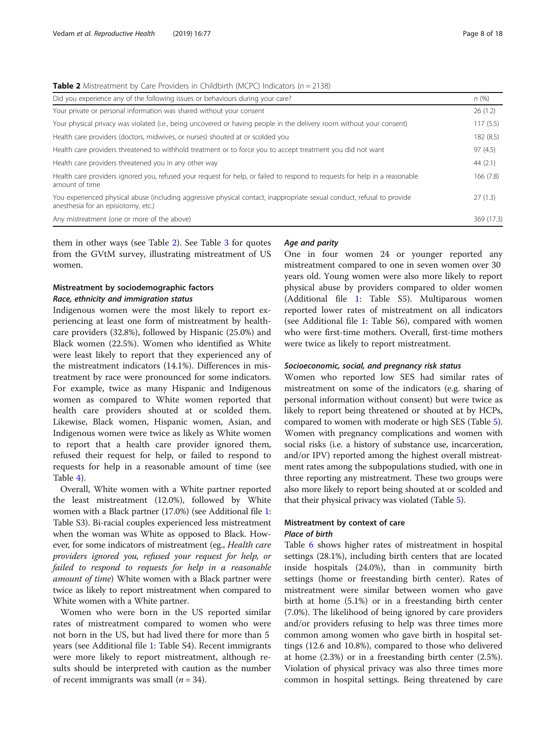#### <span id="page-7-0"></span>**Table 2** Mistreatment by Care Providers in Childbirth (MCPC) Indicators ( $n = 2138$ )

| Did you experience any of the following issues or behaviours during your care?                                                                                 | n(%)       |
|----------------------------------------------------------------------------------------------------------------------------------------------------------------|------------|
| Your private or personal information was shared without your consent                                                                                           | 26(1.2)    |
| Your physical privacy was violated (i.e., being uncovered or having people in the delivery room without your consent)                                          | 117(5.5)   |
| Health care providers (doctors, midwives, or nurses) shouted at or scolded you                                                                                 | 182 (8.5)  |
| Health care providers threatened to withhold treatment or to force you to accept treatment you did not want                                                    | 97(4.5)    |
| Health care providers threatened you in any other way                                                                                                          | 44 $(2.1)$ |
| Health care providers ignored you, refused your request for help, or failed to respond to requests for help in a reasonable<br>amount of time                  | 166(7.8)   |
| You experienced physical abuse (including aggressive physical contact, inappropriate sexual conduct, refusal to provide<br>anesthesia for an episiotomy, etc.) | 27(1.3)    |
| Any mistreatment (one or more of the above)                                                                                                                    | 369 (17.3) |

them in other ways (see Table 2). See Table [3](#page-8-0) for quotes from the GVtM survey, illustrating mistreatment of US women.

#### Mistreatment by sociodemographic factors Race, ethnicity and immigration status

Indigenous women were the most likely to report experiencing at least one form of mistreatment by healthcare providers (32.8%), followed by Hispanic (25.0%) and Black women (22.5%). Women who identified as White were least likely to report that they experienced any of the mistreatment indicators (14.1%). Differences in mistreatment by race were pronounced for some indicators. For example, twice as many Hispanic and Indigenous women as compared to White women reported that health care providers shouted at or scolded them. Likewise, Black women, Hispanic women, Asian, and Indigenous women were twice as likely as White women to report that a health care provider ignored them, refused their request for help, or failed to respond to requests for help in a reasonable amount of time (see Table [4\)](#page-9-0).

Overall, White women with a White partner reported the least mistreatment (12.0%), followed by White women with a Black partner (17.0%) (see Additional file [1](#page-15-0): Table S3). Bi-racial couples experienced less mistreatment when the woman was White as opposed to Black. However, for some indicators of mistreatment (eg., Health care providers ignored you, refused your request for help, or failed to respond to requests for help in a reasonable amount of time) White women with a Black partner were twice as likely to report mistreatment when compared to White women with a White partner.

Women who were born in the US reported similar rates of mistreatment compared to women who were not born in the US, but had lived there for more than 5 years (see Additional file [1:](#page-15-0) Table S4). Recent immigrants were more likely to report mistreatment, although results should be interpreted with caution as the number of recent immigrants was small  $(n = 34)$ .

#### Age and parity

One in four women 24 or younger reported any mistreatment compared to one in seven women over 30 years old. Young women were also more likely to report physical abuse by providers compared to older women (Additional file [1](#page-15-0): Table S5). Multiparous women reported lower rates of mistreatment on all indicators (see Additional file [1](#page-15-0): Table S6), compared with women who were first-time mothers. Overall, first-time mothers were twice as likely to report mistreatment.

#### Socioeconomic, social, and pregnancy risk status

Women who reported low SES had similar rates of mistreatment on some of the indicators (e.g. sharing of personal information without consent) but were twice as likely to report being threatened or shouted at by HCPs, compared to women with moderate or high SES (Table [5](#page-9-0)). Women with pregnancy complications and women with social risks (i.e. a history of substance use, incarceration, and/or IPV) reported among the highest overall mistreatment rates among the subpopulations studied, with one in three reporting any mistreatment. These two groups were also more likely to report being shouted at or scolded and that their physical privacy was violated (Table [5\)](#page-9-0).

#### Mistreatment by context of care Place of birth

Table [6](#page-10-0) shows higher rates of mistreatment in hospital settings (28.1%), including birth centers that are located inside hospitals (24.0%), than in community birth settings (home or freestanding birth center). Rates of mistreatment were similar between women who gave birth at home (5.1%) or in a freestanding birth center (7.0%). The likelihood of being ignored by care providers and/or providers refusing to help was three times more common among women who gave birth in hospital settings (12.6 and 10.8%), compared to those who delivered at home (2.3%) or in a freestanding birth center (2.5%). Violation of physical privacy was also three times more common in hospital settings. Being threatened by care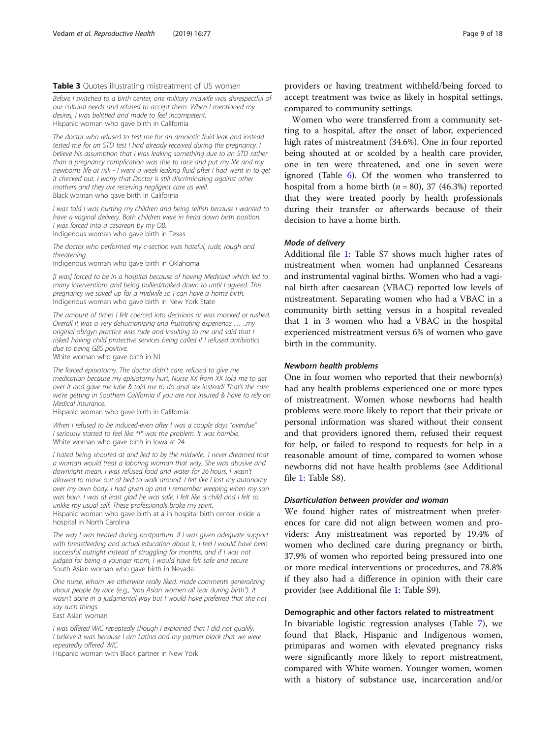#### <span id="page-8-0"></span>**Table 3** Quotes illustrating mistreatment of US women

Before I switched to a birth center, one military midwife was disrespectful of our cultural needs and refused to accept them. When I mentioned my desires, I was belittled and made to feel incompetent. Hispanic woman who gave birth in California

The doctor who refused to test me for an amniotic fluid leak and instead tested me for an STD test I had already received during the pregnancy. I believe his assumption that I was leaking something due to an STD rather than a pregnancy complication was due to race and put my life and my newborns life at risk - I went a week leaking fluid after I had went in to get it checked out. I worry that Doctor is still discriminating against other mothers and they are receiving negligent care as well. Black woman who gave birth in California

I was told I was hurting my children and being selfish because I wanted to have a vaginal delivery. Both children were in head down birth position. I was forced into a cesarean by my OB. Indigenous woman who gave birth in Texas

The doctor who performed my c-section was hateful, rude, rough and threatening.

Indigenous woman who gave birth in Oklahoma

[I was] forced to be in a hospital because of having Medicaid which led to many interventions and being bullied/talked down to until I agreed. This pregnancy we saved up for a midwife so I can have a home birth. Indigenous woman who gave birth in New York State

The amount of times I felt coerced into decisions or was mocked or rushed. Overall it was a very dehumanizing and frustrating experience. original ob/gyn practice was rude and insulting to me and said that I risked having child protective services being called if I refused antibiotics due to being GBS positive. White woman who gave birth in NJ

The forced episiotomy. The doctor didn't care, refused to give me medication because my episiotomy hurt, Nurse XX from XX told me to get over it and gave me lube & told me to do anal sex instead! That's the care we're getting in Southern California if you are not insured & have to rely on Medical insurance.

Hispanic woman who gave birth in California

When I refused to be induced-even after I was a couple days "overdue" I seriously started to feel like \*I\* was the problem. It was horrible. White woman who gave birth in Iowa at 24

I hated being shouted at and lied to by the midwife.. I never dreamed that a woman would treat a laboring woman that way. She was abusive and downright mean. I was refused food and water for 26 hours. I wasn't allowed to move out of bed to walk around. I felt like I lost my autonomy over my own body. I had given up and I remember weeping when my son was born. I was at least glad he was safe. I felt like a child and I felt so unlike my usual self. These professionals broke my spirit. Hispanic woman who gave birth at a in hospital birth center inside a hospital in North Carolina

The way I was treated during postpartum. If I was given adequate support with breastfeeding and actual education about it, I feel I would have been successful outright instead of struggling for months, and if I was not judged for being a younger mom, I would have felt safe and secure South Asian woman who gave birth in Nevada

One nurse, whom we otherwise really liked, made comments generalizing about people by race (e.g., "you Asian women all tear during birth"). It wasn't done in a judgmental way but I would have preferred that she not say such things.

East Asian woman

I was offered WIC repeatedly though I explained that I did not qualify. I believe it was because I am Latina and my partner black that we were repeatedly offered WIC.

Hispanic woman with Black partner in New York

providers or having treatment withheld/being forced to accept treatment was twice as likely in hospital settings, compared to community settings.

Women who were transferred from a community setting to a hospital, after the onset of labor, experienced high rates of mistreatment (34.6%). One in four reported being shouted at or scolded by a health care provider, one in ten were threatened, and one in seven were ignored (Table [6\)](#page-10-0). Of the women who transferred to hospital from a home birth  $(n = 80)$ , 37 (46.3%) reported that they were treated poorly by health professionals during their transfer or afterwards because of their decision to have a home birth.

#### Mode of delivery

Additional file [1:](#page-15-0) Table S7 shows much higher rates of mistreatment when women had unplanned Cesareans and instrumental vaginal births. Women who had a vaginal birth after caesarean (VBAC) reported low levels of mistreatment. Separating women who had a VBAC in a community birth setting versus in a hospital revealed that 1 in 3 women who had a VBAC in the hospital experienced mistreatment versus 6% of women who gave birth in the community.

#### Newborn health problems

One in four women who reported that their newborn(s) had any health problems experienced one or more types of mistreatment. Women whose newborns had health problems were more likely to report that their private or personal information was shared without their consent and that providers ignored them, refused their request for help, or failed to respond to requests for help in a reasonable amount of time, compared to women whose newborns did not have health problems (see Additional file [1:](#page-15-0) Table S8).

#### Disarticulation between provider and woman

We found higher rates of mistreatment when preferences for care did not align between women and providers: Any mistreatment was reported by 19.4% of women who declined care during pregnancy or birth, 37.9% of women who reported being pressured into one or more medical interventions or procedures, and 78.8% if they also had a difference in opinion with their care provider (see Additional file [1](#page-15-0): Table S9).

#### Demographic and other factors related to mistreatment

In bivariable logistic regression analyses (Table [7\)](#page-10-0), we found that Black, Hispanic and Indigenous women, primiparas and women with elevated pregnancy risks were significantly more likely to report mistreatment, compared with White women. Younger women, women with a history of substance use, incarceration and/or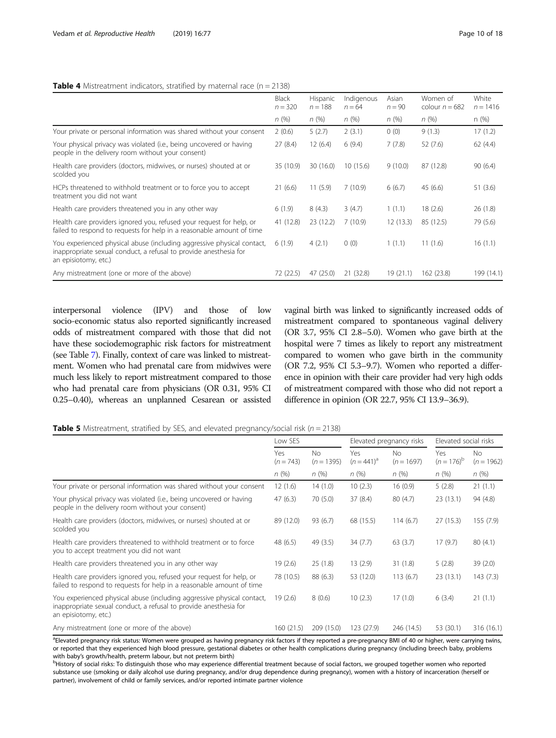#### <span id="page-9-0"></span>**Table 4** Mistreatment indicators, stratified by maternal race ( $n = 2138$ )

|                                                                                                                                                                     | Black<br>$n = 320$ | <b>Hispanic</b><br>$n = 188$ | Indigenous<br>$n = 64$ | Asian<br>$n = 90$ | Women of<br>colour $n = 682$ | White<br>$n = 1416$ |
|---------------------------------------------------------------------------------------------------------------------------------------------------------------------|--------------------|------------------------------|------------------------|-------------------|------------------------------|---------------------|
|                                                                                                                                                                     | n(%)               | n(%)                         | n(%)                   | n(%)              | n(%)                         | n(%)                |
| Your private or personal information was shared without your consent                                                                                                | 2(0.6)             | 5(2.7)                       | 2(3.1)                 | 0(0)              | 9(1.3)                       | 17(1.2)             |
| Your physical privacy was violated (i.e., being uncovered or having<br>people in the delivery room without your consent)                                            | 27(8.4)            | 12(6.4)                      | 6(9.4)                 | 7(7.8)            | 52 (7.6)                     | 62(4.4)             |
| Health care providers (doctors, midwives, or nurses) shouted at or<br>scolded you                                                                                   | 35 (10.9)          | 30 (16.0)                    | 10(15.6)               | 9(10.0)           | 87 (12.8)                    | 90(6.4)             |
| HCPs threatened to withhold treatment or to force you to accept<br>treatment you did not want                                                                       | 21(6.6)            | 11(5.9)                      | 7(10.9)                | 6(6.7)            | 45 (6.6)                     | 51(3.6)             |
| Health care providers threatened you in any other way                                                                                                               | 6(1.9)             | 8(4.3)                       | 3(4.7)                 | 1(1.1)            | 18(2.6)                      | 26(1.8)             |
| Health care providers ignored you, refused your request for help, or<br>failed to respond to requests for help in a reasonable amount of time                       | 41 (12.8)          | 23(12.2)                     | 7(10.9)                | 12(13.3)          | 85 (12.5)                    | 79 (5.6)            |
| You experienced physical abuse (including aggressive physical contact,<br>inappropriate sexual conduct, a refusal to provide anesthesia for<br>an episiotomy, etc.) | 6(1.9)             | 4(2.1)                       | 0(0)                   | 1(1.1)            | 11(1.6)                      | 16(1.1)             |
| Any mistreatment (one or more of the above)                                                                                                                         | 72 (22.5)          | 47 (25.0)                    | 21(32.8)               | 19(21.1)          | 162 (23.8)                   | 199 (14.1)          |

interpersonal violence (IPV) and those of low socio-economic status also reported significantly increased odds of mistreatment compared with those that did not have these sociodemographic risk factors for mistreatment (see Table [7](#page-10-0)). Finally, context of care was linked to mistreatment. Women who had prenatal care from midwives were much less likely to report mistreatment compared to those who had prenatal care from physicians (OR 0.31, 95% CI 0.25–0.40), whereas an unplanned Cesarean or assisted

vaginal birth was linked to significantly increased odds of mistreatment compared to spontaneous vaginal delivery (OR 3.7, 95% CI 2.8–5.0). Women who gave birth at the hospital were 7 times as likely to report any mistreatment compared to women who gave birth in the community (OR 7.2, 95% CI 5.3–9.7). Women who reported a difference in opinion with their care provider had very high odds of mistreatment compared with those who did not report a difference in opinion (OR 22.7, 95% CI 13.9–36.9).

#### **Table 5** Mistreatment, stratified by SES, and elevated pregnancy/social risk ( $n = 2138$ )

|                                                                                                                                                                     | Low SES                    |                                   | Elevated pregnancy risks       |                                   | Elevated social risks          |                                   |
|---------------------------------------------------------------------------------------------------------------------------------------------------------------------|----------------------------|-----------------------------------|--------------------------------|-----------------------------------|--------------------------------|-----------------------------------|
|                                                                                                                                                                     | Yes<br>$(n = 743)$<br>n(%) | <b>No</b><br>$(n = 1395)$<br>n(%) | Yes<br>$(n = 441)^{d}$<br>n(%) | <b>No</b><br>$(n = 1697)$<br>n(%) | Yes<br>$(n = 176)^{b}$<br>n(%) | <b>No</b><br>$(n = 1962)$<br>n(%) |
|                                                                                                                                                                     |                            |                                   |                                |                                   |                                |                                   |
| Your private or personal information was shared without your consent                                                                                                | 12(1.6)                    | 14(1.0)                           | 10(2.3)                        | 16(0.9)                           | 5(2.8)                         | 21(1.1)                           |
| Your physical privacy was violated (i.e., being uncovered or having<br>people in the delivery room without your consent)                                            | 47(6.3)                    | 70(5.0)                           | 37(8.4)                        | 80 (4.7)                          | 23(13.1)                       | 94 (4.8)                          |
| Health care providers (doctors, midwives, or nurses) shouted at or<br>scolded you                                                                                   | 89 (12.0)                  | 93 (6.7)                          | 68 (15.5)                      | 114(6.7)                          | 27(15.3)                       | 155 (7.9)                         |
| Health care providers threatened to withhold treatment or to force<br>you to accept treatment you did not want                                                      | 48 (6.5)                   | 49 (3.5)                          | 34(7.7)                        | 63(3.7)                           | 17(9.7)                        | 80(4.1)                           |
| Health care providers threatened you in any other way                                                                                                               | 19(2.6)                    | 25(1.8)                           | 13(2.9)                        | 31(1.8)                           | 5(2.8)                         | 39(2.0)                           |
| Health care providers ignored you, refused your request for help, or<br>failed to respond to requests for help in a reasonable amount of time                       | 78 (10.5)                  | 88 (6.3)                          | 53 (12.0)                      | 113(6.7)                          | 23(13.1)                       | 143(7.3)                          |
| You experienced physical abuse (including aggressive physical contact,<br>inappropriate sexual conduct, a refusal to provide anesthesia for<br>an episiotomy, etc.) | 19(2.6)                    | 8(0.6)                            | 10(2.3)                        | 17(1.0)                           | 6(3.4)                         | 21(1.1)                           |
| Any mistreatment (one or more of the above)                                                                                                                         | 160(21.5)                  | 209 (15.0)                        | 123 (27.9)                     | 246 (14.5)                        | 53 (30.1)                      | 316 (16.1)                        |

<sup>a</sup>Elevated pregnancy risk status: Women were grouped as having pregnancy risk factors if they reported a pre-pregnancy BMI of 40 or higher, were carrying twins, or reported that they experienced high blood pressure, gestational diabetes or other health complications during pregnancy (including breech baby, problems with baby's growth/health, preterm labour, but not preterm birth)

<sup>b</sup>History of social risks: To distinguish those who may experience differential treatment because of social factors, we grouped together women who reported substance use (smoking or daily alcohol use during pregnancy, and/or drug dependence during pregnancy), women with a history of incarceration (herself or partner), involvement of child or family services, and/or reported intimate partner violence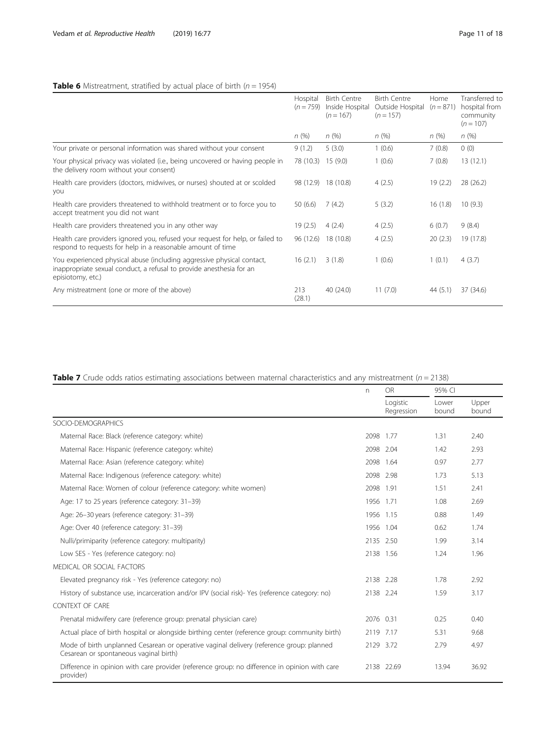#### <span id="page-10-0"></span>**Table 6** Mistreatment, stratified by actual place of birth ( $n = 1954$ )

|                                                                                                                                                                     | Hospital<br>$(n = 759)$ | <b>Birth Centre</b><br>Inside Hospital<br>$(n = 167)$ | <b>Birth Centre</b><br>Outside Hospital<br>$(n = 157)$ | Home<br>$(n = 871)$ | Transferred to<br>hospital from<br>community<br>$(n = 107)$ |
|---------------------------------------------------------------------------------------------------------------------------------------------------------------------|-------------------------|-------------------------------------------------------|--------------------------------------------------------|---------------------|-------------------------------------------------------------|
|                                                                                                                                                                     | n(%)                    | n(%)                                                  | n(%)                                                   | n(%)                | n(%)                                                        |
| Your private or personal information was shared without your consent                                                                                                | 9(1.2)                  | 5(3.0)                                                | 1(0.6)                                                 | 7(0.8)              | 0(0)                                                        |
| Your physical privacy was violated (i.e., being uncovered or having people in<br>the delivery room without your consent)                                            | 78 (10.3)               | 15 (9.0)                                              | 1(0.6)                                                 | 7(0.8)              | 13(12.1)                                                    |
| Health care providers (doctors, midwives, or nurses) shouted at or scolded<br>you                                                                                   | 98 (12.9) 18 (10.8)     |                                                       | 4(2.5)                                                 | 19(2.2)             | 28 (26.2)                                                   |
| Health care providers threatened to withhold treatment or to force you to<br>accept treatment you did not want                                                      | 50(6.6)                 | 7(4.2)                                                | 5(3.2)                                                 | 16(1.8)             | 10(9.3)                                                     |
| Health care providers threatened you in any other way                                                                                                               | 19(2.5)                 | 4(2.4)                                                | 4(2.5)                                                 | 6(0.7)              | 9(8.4)                                                      |
| Health care providers ignored you, refused your request for help, or failed to<br>respond to requests for help in a reasonable amount of time                       | 96 (12.6)               | 18 (10.8)                                             | 4(2.5)                                                 | 20(2.3)             | 19 (17.8)                                                   |
| You experienced physical abuse (including aggressive physical contact,<br>inappropriate sexual conduct, a refusal to provide anesthesia for an<br>episiotomy, etc.) | 16(2.1)                 | 3(1.8)                                                | 1(0.6)                                                 | 1(0.1)              | 4(3.7)                                                      |
| Any mistreatment (one or more of the above)                                                                                                                         | 213<br>(28.1)           | 40 (24.0)                                             | 11(7.0)                                                | 44 $(5.1)$          | 37 (34.6)                                                   |

#### **Table 7** Crude odds ratios estimating associations between maternal characteristics and any mistreatment ( $n = 2138$ )

|                                                                                                                                    | n         | OR                     | 95% CI         |                |
|------------------------------------------------------------------------------------------------------------------------------------|-----------|------------------------|----------------|----------------|
|                                                                                                                                    |           | Logistic<br>Regression | Lower<br>bound | Upper<br>bound |
| SOCIO-DEMOGRAPHICS                                                                                                                 |           |                        |                |                |
| Maternal Race: Black (reference category: white)                                                                                   | 2098 1.77 |                        | 1.31           | 2.40           |
| Maternal Race: Hispanic (reference category: white)                                                                                | 2098 2.04 |                        | 1.42           | 2.93           |
| Maternal Race: Asian (reference category: white)                                                                                   | 2098 1.64 |                        | 0.97           | 2.77           |
| Maternal Race: Indigenous (reference category: white)                                                                              | 2098 2.98 |                        | 1.73           | 5.13           |
| Maternal Race: Women of colour (reference category: white women)                                                                   | 2098 1.91 |                        | 1.51           | 2.41           |
| Age: 17 to 25 years (reference category: 31-39)                                                                                    | 1956 1.71 |                        | 1.08           | 2.69           |
| Age: 26-30 years (reference category: 31-39)                                                                                       | 1956 1.15 |                        | 0.88           | 1.49           |
| Age: Over 40 (reference category: 31-39)                                                                                           | 1956 1.04 |                        | 0.62           | 1.74           |
| Nulli/primiparity (reference category: multiparity)                                                                                | 2135 2.50 |                        | 1.99           | 3.14           |
| Low SES - Yes (reference category: no)                                                                                             | 2138 1.56 |                        | 1.24           | 1.96           |
| MEDICAL OR SOCIAL FACTORS                                                                                                          |           |                        |                |                |
| Elevated pregnancy risk - Yes (reference category: no)                                                                             | 2138 2.28 |                        | 1.78           | 2.92           |
| History of substance use, incarceration and/or IPV (social risk)-Yes (reference category: no)                                      | 2138 2.24 |                        | 1.59           | 3.17           |
| CONTEXT OF CARE                                                                                                                    |           |                        |                |                |
| Prenatal midwifery care (reference group: prenatal physician care)                                                                 | 2076 0.31 |                        | 0.25           | 0.40           |
| Actual place of birth hospital or alongside birthing center (reference group: community birth)                                     | 2119 7.17 |                        | 5.31           | 9.68           |
| Mode of birth unplanned Cesarean or operative vaginal delivery (reference group: planned<br>Cesarean or spontaneous vaginal birth) | 2129 3.72 |                        | 2.79           | 4.97           |
| Difference in opinion with care provider (reference group: no difference in opinion with care<br>provider)                         |           | 2138 22.69             | 13.94          | 36.92          |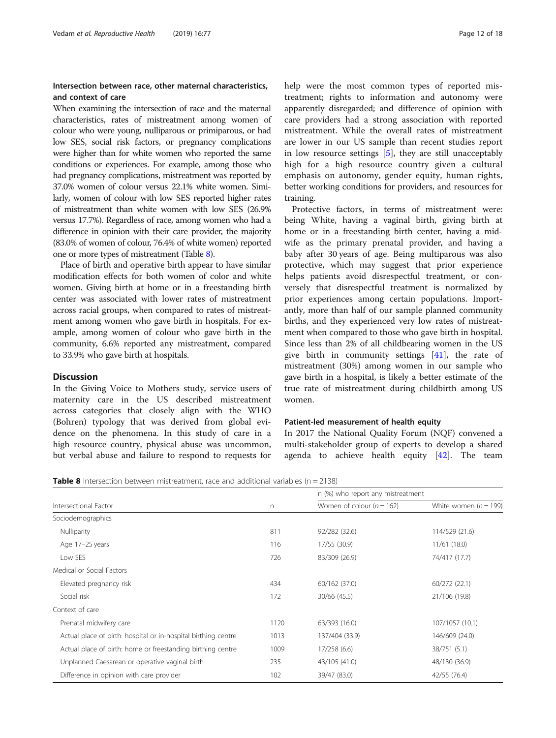#### Intersection between race, other maternal characteristics, and context of care

When examining the intersection of race and the maternal characteristics, rates of mistreatment among women of colour who were young, nulliparous or primiparous, or had low SES, social risk factors, or pregnancy complications were higher than for white women who reported the same conditions or experiences. For example, among those who had pregnancy complications, mistreatment was reported by 37.0% women of colour versus 22.1% white women. Similarly, women of colour with low SES reported higher rates of mistreatment than white women with low SES (26.9% versus 17.7%). Regardless of race, among women who had a difference in opinion with their care provider, the majority (83.0% of women of colour, 76.4% of white women) reported one or more types of mistreatment (Table 8).

Place of birth and operative birth appear to have similar modification effects for both women of color and white women. Giving birth at home or in a freestanding birth center was associated with lower rates of mistreatment across racial groups, when compared to rates of mistreatment among women who gave birth in hospitals. For example, among women of colour who gave birth in the community, 6.6% reported any mistreatment, compared to 33.9% who gave birth at hospitals.

#### **Discussion**

In the Giving Voice to Mothers study, service users of maternity care in the US described mistreatment across categories that closely align with the WHO (Bohren) typology that was derived from global evidence on the phenomena. In this study of care in a high resource country, physical abuse was uncommon, but verbal abuse and failure to respond to requests for help were the most common types of reported mistreatment; rights to information and autonomy were apparently disregarded; and difference of opinion with care providers had a strong association with reported mistreatment. While the overall rates of mistreatment are lower in our US sample than recent studies report in low resource settings [\[5](#page-16-0)], they are still unacceptably high for a high resource country given a cultural emphasis on autonomy, gender equity, human rights, better working conditions for providers, and resources for training.

Protective factors, in terms of mistreatment were: being White, having a vaginal birth, giving birth at home or in a freestanding birth center, having a midwife as the primary prenatal provider, and having a baby after 30 years of age. Being multiparous was also protective, which may suggest that prior experience helps patients avoid disrespectful treatment, or conversely that disrespectful treatment is normalized by prior experiences among certain populations. Importantly, more than half of our sample planned community births, and they experienced very low rates of mistreatment when compared to those who gave birth in hospital. Since less than 2% of all childbearing women in the US give birth in community settings [\[41](#page-16-0)], the rate of mistreatment (30%) among women in our sample who gave birth in a hospital, is likely a better estimate of the true rate of mistreatment during childbirth among US women.

#### Patient-led measurement of health equity

In 2017 the National Quality Forum (NQF) convened a multi-stakeholder group of experts to develop a shared agenda to achieve health equity  $[42]$  $[42]$ . The team

**Table 8** Intersection between mistreatment, race and additional variables (n = 2138)

|                                                                |      | n (%) who report any mistreatment |                         |  |  |
|----------------------------------------------------------------|------|-----------------------------------|-------------------------|--|--|
| Intersectional Factor                                          | n    | Women of colour ( $n = 162$ )     | White women $(n = 199)$ |  |  |
| Sociodemographics                                              |      |                                   |                         |  |  |
| Nulliparity                                                    | 811  | 92/282 (32.6)                     | 114/529 (21.6)          |  |  |
| Age 17-25 years                                                | 116  | 17/55 (30.9)                      | 11/61(18.0)             |  |  |
| Low SES                                                        | 726  | 83/309 (26.9)                     | 74/417 (17.7)           |  |  |
| Medical or Social Factors                                      |      |                                   |                         |  |  |
| Elevated pregnancy risk                                        | 434  | 60/162 (37.0)                     | 60/272 (22.1)           |  |  |
| Social risk                                                    | 172  | 30/66 (45.5)                      | 21/106 (19.8)           |  |  |
| Context of care                                                |      |                                   |                         |  |  |
| Prenatal midwifery care                                        | 1120 | 63/393 (16.0)                     | 107/1057 (10.1)         |  |  |
| Actual place of birth: hospital or in-hospital birthing centre | 1013 | 137/404 (33.9)                    | 146/609 (24.0)          |  |  |
| Actual place of birth: home or freestanding birthing centre    | 1009 | 17/258(6.6)                       | 38/751 (5.1)            |  |  |
| Unplanned Caesarean or operative vaginal birth                 | 235  | 43/105 (41.0)                     | 48/130 (36.9)           |  |  |
| Difference in opinion with care provider                       | 102  | 39/47 (83.0)                      | 42/55 (76.4)            |  |  |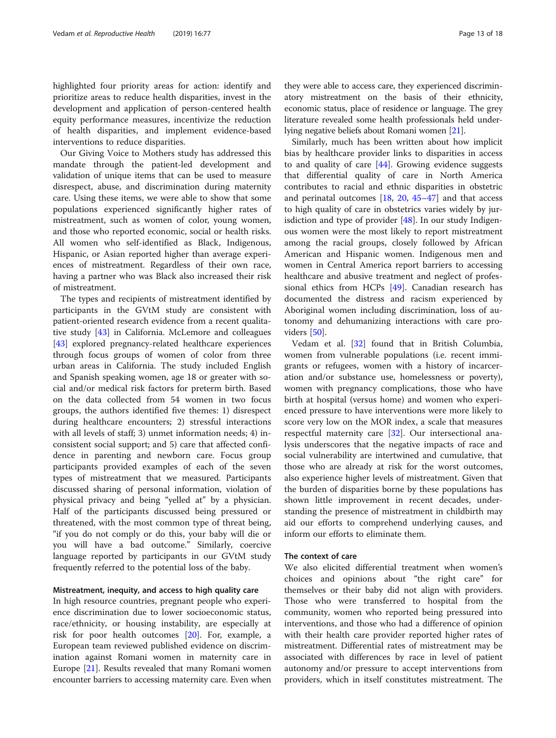highlighted four priority areas for action: identify and prioritize areas to reduce health disparities, invest in the development and application of person-centered health equity performance measures, incentivize the reduction of health disparities, and implement evidence-based interventions to reduce disparities.

Our Giving Voice to Mothers study has addressed this mandate through the patient-led development and validation of unique items that can be used to measure disrespect, abuse, and discrimination during maternity care. Using these items, we were able to show that some populations experienced significantly higher rates of mistreatment, such as women of color, young women, and those who reported economic, social or health risks. All women who self-identified as Black, Indigenous, Hispanic, or Asian reported higher than average experiences of mistreatment. Regardless of their own race, having a partner who was Black also increased their risk of mistreatment.

The types and recipients of mistreatment identified by participants in the GVtM study are consistent with patient-oriented research evidence from a recent qualitative study [[43\]](#page-17-0) in California. McLemore and colleagues [[43\]](#page-17-0) explored pregnancy-related healthcare experiences through focus groups of women of color from three urban areas in California. The study included English and Spanish speaking women, age 18 or greater with social and/or medical risk factors for preterm birth. Based on the data collected from 54 women in two focus groups, the authors identified five themes: 1) disrespect during healthcare encounters; 2) stressful interactions with all levels of staff; 3) unmet information needs; 4) inconsistent social support; and 5) care that affected confidence in parenting and newborn care. Focus group participants provided examples of each of the seven types of mistreatment that we measured. Participants discussed sharing of personal information, violation of physical privacy and being "yelled at" by a physician. Half of the participants discussed being pressured or threatened, with the most common type of threat being, "if you do not comply or do this, your baby will die or you will have a bad outcome." Similarly, coercive language reported by participants in our GVtM study frequently referred to the potential loss of the baby.

#### Mistreatment, inequity, and access to high quality care

In high resource countries, pregnant people who experience discrimination due to lower socioeconomic status, race/ethnicity, or housing instability, are especially at risk for poor health outcomes [\[20\]](#page-16-0). For, example, a European team reviewed published evidence on discrimination against Romani women in maternity care in Europe [\[21](#page-16-0)]. Results revealed that many Romani women encounter barriers to accessing maternity care. Even when

they were able to access care, they experienced discriminatory mistreatment on the basis of their ethnicity, economic status, place of residence or language. The grey literature revealed some health professionals held underlying negative beliefs about Romani women [\[21\]](#page-16-0).

Similarly, much has been written about how implicit bias by healthcare provider links to disparities in access to and quality of care  $[44]$  $[44]$  $[44]$ . Growing evidence suggests that differential quality of care in North America contributes to racial and ethnic disparities in obstetric and perinatal outcomes [[18,](#page-16-0) [20,](#page-16-0) [45](#page-17-0)–[47](#page-17-0)] and that access to high quality of care in obstetrics varies widely by jur-isdiction and type of provider [\[48](#page-17-0)]. In our study Indigenous women were the most likely to report mistreatment among the racial groups, closely followed by African American and Hispanic women. Indigenous men and women in Central America report barriers to accessing healthcare and abusive treatment and neglect of professional ethics from HCPs [[49\]](#page-17-0). Canadian research has documented the distress and racism experienced by Aboriginal women including discrimination, loss of autonomy and dehumanizing interactions with care providers [[50\]](#page-17-0).

Vedam et al. [\[32\]](#page-16-0) found that in British Columbia, women from vulnerable populations (i.e. recent immigrants or refugees, women with a history of incarceration and/or substance use, homelessness or poverty), women with pregnancy complications, those who have birth at hospital (versus home) and women who experienced pressure to have interventions were more likely to score very low on the MOR index, a scale that measures respectful maternity care [[32\]](#page-16-0). Our intersectional analysis underscores that the negative impacts of race and social vulnerability are intertwined and cumulative, that those who are already at risk for the worst outcomes, also experience higher levels of mistreatment. Given that the burden of disparities borne by these populations has shown little improvement in recent decades, understanding the presence of mistreatment in childbirth may aid our efforts to comprehend underlying causes, and inform our efforts to eliminate them.

#### The context of care

We also elicited differential treatment when women's choices and opinions about "the right care" for themselves or their baby did not align with providers. Those who were transferred to hospital from the community, women who reported being pressured into interventions, and those who had a difference of opinion with their health care provider reported higher rates of mistreatment. Differential rates of mistreatment may be associated with differences by race in level of patient autonomy and/or pressure to accept interventions from providers, which in itself constitutes mistreatment. The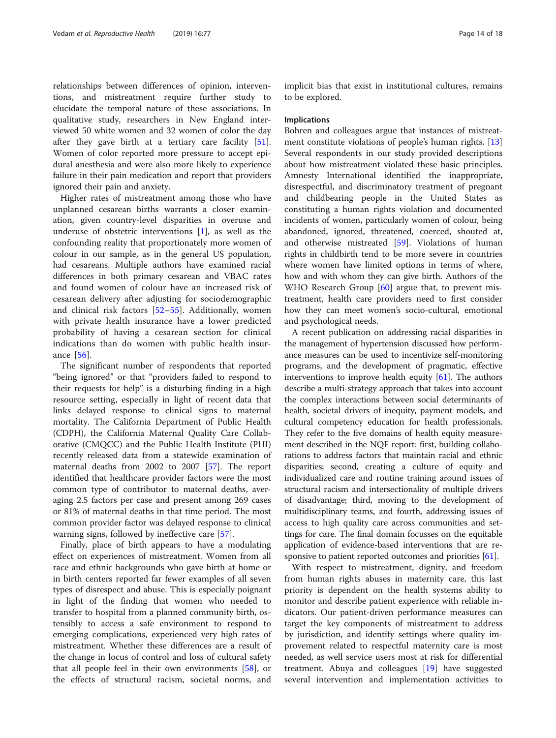relationships between differences of opinion, interventions, and mistreatment require further study to elucidate the temporal nature of these associations. In qualitative study, researchers in New England interviewed 50 white women and 32 women of color the day after they gave birth at a tertiary care facility [\[51](#page-17-0)]. Women of color reported more pressure to accept epidural anesthesia and were also more likely to experience failure in their pain medication and report that providers ignored their pain and anxiety.

Higher rates of mistreatment among those who have unplanned cesarean births warrants a closer examination, given country-level disparities in overuse and underuse of obstetric interventions  $[1]$  $[1]$  $[1]$ , as well as the confounding reality that proportionately more women of colour in our sample, as in the general US population, had cesareans. Multiple authors have examined racial differences in both primary cesarean and VBAC rates and found women of colour have an increased risk of cesarean delivery after adjusting for sociodemographic and clinical risk factors [\[52](#page-17-0)–[55](#page-17-0)]. Additionally, women with private health insurance have a lower predicted probability of having a cesarean section for clinical indications than do women with public health insurance [[56\]](#page-17-0).

The significant number of respondents that reported "being ignored" or that "providers failed to respond to their requests for help" is a disturbing finding in a high resource setting, especially in light of recent data that links delayed response to clinical signs to maternal mortality. The California Department of Public Health (CDPH), the California Maternal Quality Care Collaborative (CMQCC) and the Public Health Institute (PHI) recently released data from a statewide examination of maternal deaths from 2002 to 2007 [[57\]](#page-17-0). The report identified that healthcare provider factors were the most common type of contributor to maternal deaths, averaging 2.5 factors per case and present among 269 cases or 81% of maternal deaths in that time period. The most common provider factor was delayed response to clinical warning signs, followed by ineffective care [[57\]](#page-17-0).

Finally, place of birth appears to have a modulating effect on experiences of mistreatment. Women from all race and ethnic backgrounds who gave birth at home or in birth centers reported far fewer examples of all seven types of disrespect and abuse. This is especially poignant in light of the finding that women who needed to transfer to hospital from a planned community birth, ostensibly to access a safe environment to respond to emerging complications, experienced very high rates of mistreatment. Whether these differences are a result of the change in locus of control and loss of cultural safety that all people feel in their own environments [\[58](#page-17-0)], or the effects of structural racism, societal norms, and

implicit bias that exist in institutional cultures, remains to be explored.

#### Implications

Bohren and colleagues argue that instances of mistreat-ment constitute violations of people's human rights. [[13](#page-16-0)] Several respondents in our study provided descriptions about how mistreatment violated these basic principles. Amnesty International identified the inappropriate, disrespectful, and discriminatory treatment of pregnant and childbearing people in the United States as constituting a human rights violation and documented incidents of women, particularly women of colour, being abandoned, ignored, threatened, coerced, shouted at, and otherwise mistreated [\[59](#page-17-0)]. Violations of human rights in childbirth tend to be more severe in countries where women have limited options in terms of where, how and with whom they can give birth. Authors of the WHO Research Group [[60\]](#page-17-0) argue that, to prevent mistreatment, health care providers need to first consider how they can meet women's socio-cultural, emotional and psychological needs.

A recent publication on addressing racial disparities in the management of hypertension discussed how performance measures can be used to incentivize self-monitoring programs, and the development of pragmatic, effective interventions to improve health equity [\[61\]](#page-17-0). The authors describe a multi-strategy approach that takes into account the complex interactions between social determinants of health, societal drivers of inequity, payment models, and cultural competency education for health professionals. They refer to the five domains of health equity measurement described in the NQF report: first, building collaborations to address factors that maintain racial and ethnic disparities; second, creating a culture of equity and individualized care and routine training around issues of structural racism and intersectionality of multiple drivers of disadvantage; third, moving to the development of multidisciplinary teams, and fourth, addressing issues of access to high quality care across communities and settings for care. The final domain focusses on the equitable application of evidence-based interventions that are responsive to patient reported outcomes and priorities [[61](#page-17-0)].

With respect to mistreatment, dignity, and freedom from human rights abuses in maternity care, this last priority is dependent on the health systems ability to monitor and describe patient experience with reliable indicators. Our patient-driven performance measures can target the key components of mistreatment to address by jurisdiction, and identify settings where quality improvement related to respectful maternity care is most needed, as well service users most at risk for differential treatment. Abuya and colleagues [\[19\]](#page-16-0) have suggested several intervention and implementation activities to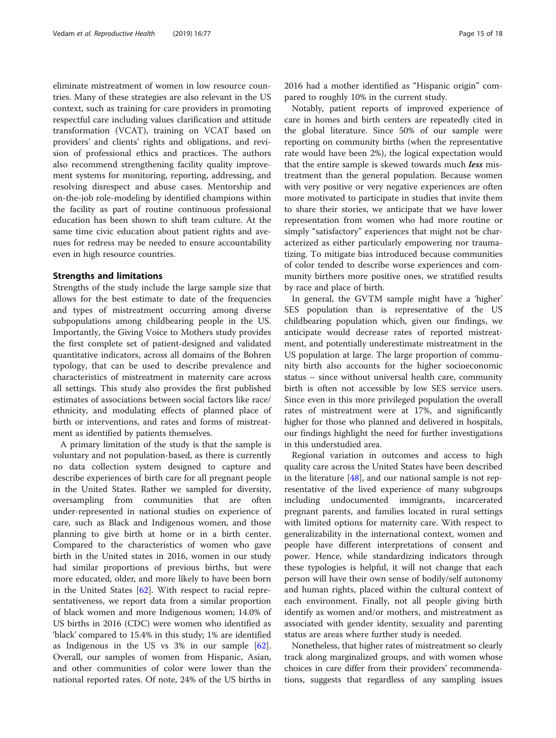eliminate mistreatment of women in low resource countries. Many of these strategies are also relevant in the US context, such as training for care providers in promoting respectful care including values clarification and attitude transformation (VCAT), training on VCAT based on providers' and clients' rights and obligations, and revision of professional ethics and practices. The authors also recommend strengthening facility quality improvement systems for monitoring, reporting, addressing, and resolving disrespect and abuse cases. Mentorship and on-the-job role-modeling by identified champions within the facility as part of routine continuous professional education has been shown to shift team culture. At the same time civic education about patient rights and avenues for redress may be needed to ensure accountability even in high resource countries.

#### Strengths and limitations

Strengths of the study include the large sample size that allows for the best estimate to date of the frequencies and types of mistreatment occurring among diverse subpopulations among childbearing people in the US. Importantly, the Giving Voice to Mothers study provides the first complete set of patient-designed and validated quantitative indicators, across all domains of the Bohren typology, that can be used to describe prevalence and characteristics of mistreatment in maternity care across all settings. This study also provides the first published estimates of associations between social factors like race/ ethnicity, and modulating effects of planned place of birth or interventions, and rates and forms of mistreatment as identified by patients themselves.

A primary limitation of the study is that the sample is voluntary and not population-based, as there is currently no data collection system designed to capture and describe experiences of birth care for all pregnant people in the United States. Rather we sampled for diversity, oversampling from communities that are often under-represented in national studies on experience of care, such as Black and Indigenous women, and those planning to give birth at home or in a birth center. Compared to the characteristics of women who gave birth in the United states in 2016, women in our study had similar proportions of previous births, but were more educated, older, and more likely to have been born in the United States [\[62](#page-17-0)]. With respect to racial representativeness, we report data from a similar proportion of black women and more Indigenous women; 14.0% of US births in 2016 (CDC) were women who identified as 'black' compared to 15.4% in this study; 1% are identified as Indigenous in the US vs 3% in our sample [\[62](#page-17-0)]. Overall, our samples of women from Hispanic, Asian, and other communities of color were lower than the national reported rates. Of note, 24% of the US births in 2016 had a mother identified as "Hispanic origin" compared to roughly 10% in the current study.

Notably, patient reports of improved experience of care in homes and birth centers are repeatedly cited in the global literature. Since 50% of our sample were reporting on community births (when the representative rate would have been 2%), the logical expectation would that the entire sample is skewed towards much *less* mistreatment than the general population. Because women with very positive or very negative experiences are often more motivated to participate in studies that invite them to share their stories, we anticipate that we have lower representation from women who had more routine or simply "satisfactory" experiences that might not be characterized as either particularly empowering nor traumatizing. To mitigate bias introduced because communities of color tended to describe worse experiences and community birthers more positive ones, we stratified results by race and place of birth.

In general, the GVTM sample might have a 'higher' SES population than is representative of the US childbearing population which, given our findings, we anticipate would decrease rates of reported mistreatment, and potentially underestimate mistreatment in the US population at large. The large proportion of community birth also accounts for the higher socioeconomic status – since without universal health care, community birth is often not accessible by low SES service users. Since even in this more privileged population the overall rates of mistreatment were at 17%, and significantly higher for those who planned and delivered in hospitals, our findings highlight the need for further investigations in this understudied area.

Regional variation in outcomes and access to high quality care across the United States have been described in the literature [\[48\]](#page-17-0), and our national sample is not representative of the lived experience of many subgroups including undocumented immigrants, incarcerated pregnant parents, and families located in rural settings with limited options for maternity care. With respect to generalizability in the international context, women and people have different interpretations of consent and power. Hence, while standardizing indicators through these typologies is helpful, it will not change that each person will have their own sense of bodily/self autonomy and human rights, placed within the cultural context of each environment. Finally, not all people giving birth identify as women and/or mothers, and mistreatment as associated with gender identity, sexuality and parenting status are areas where further study is needed.

Nonetheless, that higher rates of mistreatment so clearly track along marginalized groups, and with women whose choices in care differ from their providers' recommendations, suggests that regardless of any sampling issues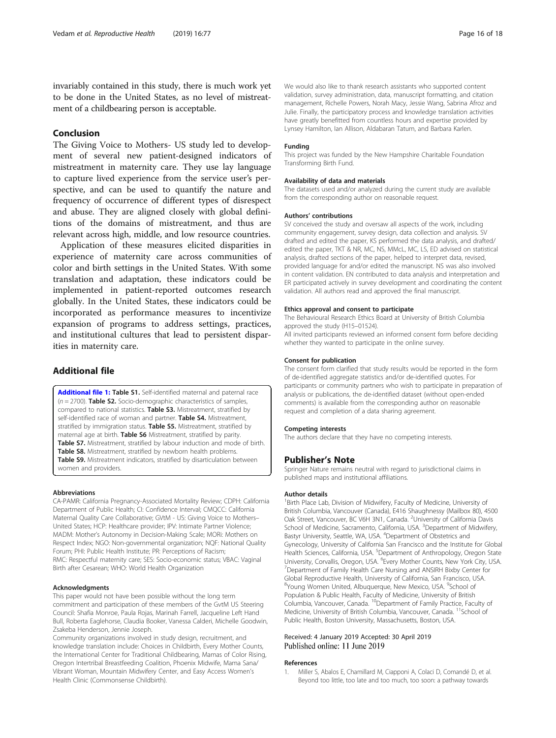<span id="page-15-0"></span>invariably contained in this study, there is much work yet to be done in the United States, as no level of mistreatment of a childbearing person is acceptable.

#### Conclusion

The Giving Voice to Mothers- US study led to development of several new patient-designed indicators of mistreatment in maternity care. They use lay language to capture lived experience from the service user's perspective, and can be used to quantify the nature and frequency of occurrence of different types of disrespect and abuse. They are aligned closely with global definitions of the domains of mistreatment, and thus are relevant across high, middle, and low resource countries.

Application of these measures elicited disparities in experience of maternity care across communities of color and birth settings in the United States. With some translation and adaptation, these indicators could be implemented in patient-reported outcomes research globally. In the United States, these indicators could be incorporated as performance measures to incentivize expansion of programs to address settings, practices, and institutional cultures that lead to persistent disparities in maternity care.

#### Additional file

[Additional file 1:](https://doi.org/10.1186/s12978-019-0729-2) Table S1. Self-identified maternal and paternal race  $(n = 2700)$ . Table S2. Socio-demographic characteristics of samples, compared to national statistics. Table S3. Mistreatment, stratified by self-identified race of woman and partner. Table S4. Mistreatment, stratified by immigration status. Table S5. Mistreatment, stratified by maternal age at birth. Table S6 Mistreatment, stratified by parity. Table S7. Mistreatment, stratified by labour induction and mode of birth. Table S8. Mistreatment, stratified by newborn health problems. Table S9. Mistreatment indicators, stratified by disarticulation between women and providers.

#### Abbreviations

CA-PAMR: California Pregnancy-Associated Mortality Review; CDPH: California Department of Public Health; CI: Confidence Interval; CMQCC: California Maternal Quality Care Collaborative; GVtM - US: Giving Voice to Mothers– United States; HCP: Healthcare provider; IPV: Intimate Partner Violence; MADM: Mother's Autonomy in Decision-Making Scale; MORi: Mothers on Respect Index; NGO: Non-governmental organization; NQF: National Quality Forum; PHI: Public Health Institute; PR: Perceptions of Racism; RMC: Respectful maternity care; SES: Socio-economic status; VBAC: Vaginal Birth after Cesarean; WHO: World Health Organization

#### Acknowledgments

This paper would not have been possible without the long term commitment and participation of these members of the GvtM US Steering Council: Shafia Monroe, Paula Rojas, Marinah Farrell, Jacqueline Left Hand Bull, Roberta Eaglehorse, Claudia Booker, Vanessa Calderi, Michelle Goodwin, Zsakeba Henderson, Jennie Joseph.

Community organizations involved in study design, recruitment, and knowledge translation include: Choices in Childbirth, Every Mother Counts, the International Center for Traditional Childbearing, Mamas of Color Rising, Oregon Intertribal Breastfeeding Coalition, Phoenix Midwife, Mama Sana/ Vibrant Woman, Mountain Midwifery Center, and Easy Access Women's Health Clinic (Commonsense Childbirth).

We would also like to thank research assistants who supported content validation, survey administration, data, manuscript formatting, and citation management, Richelle Powers, Norah Macy, Jessie Wang, Sabrina Afroz and Julie. Finally, the participatory process and knowledge translation activities have greatly benefitted from countless hours and expertise provided by Lynsey Hamilton, Ian Allison, Aldabaran Tatum, and Barbara Karlen.

#### Funding

This project was funded by the New Hampshire Charitable Foundation Transforming Birth Fund.

#### Availability of data and materials

The datasets used and/or analyzed during the current study are available from the corresponding author on reasonable request.

#### Authors' contributions

SV conceived the study and oversaw all aspects of the work, including community engagement, survey design, data collection and analysis. SV drafted and edited the paper, KS performed the data analysis, and drafted/ edited the paper, TKT & NR, MC, NS, MMcL, MC, LS, ED advised on statistical analysis, drafted sections of the paper, helped to interpret data, revised, provided language for and/or edited the manuscript. NS was also involved in content validation. EN contributed to data analysis and interpretation and ER participated actively in survey development and coordinating the content validation. All authors read and approved the final manuscript.

#### Ethics approval and consent to participate

The Behavioural Research Ethics Board at University of British Columbia approved the study (H15–01524).

All invited participants reviewed an informed consent form before deciding whether they wanted to participate in the online survey.

#### Consent for publication

The consent form clarified that study results would be reported in the form of de-identified aggregate statistics and/or de-identified quotes. For participants or community partners who wish to participate in preparation of analysis or publications, the de-identified dataset (without open-ended comments) is available from the corresponding author on reasonable request and completion of a data sharing agreement.

#### Competing interests

The authors declare that they have no competing interests.

#### Publisher's Note

Springer Nature remains neutral with regard to jurisdictional claims in published maps and institutional affiliations.

#### Author details

<sup>1</sup> Birth Place Lab, Division of Midwifery, Faculty of Medicine, University of British Columbia, Vancouver (Canada), E416 Shaughnessy (Mailbox 80), 4500 Oak Street, Vancouver, BC V6H 3N1, Canada. <sup>2</sup>University of California Davis School of Medicine, Sacramento, California, USA. <sup>3</sup>Department of Midwifery, Bastyr University, Seattle, WA, USA. <sup>4</sup>Department of Obstetrics and Gynecology, University of California San Francisco and the Institute for Global Health Sciences, California, USA. <sup>5</sup>Department of Anthropology, Oregon State University, Corvallis, Oregon, USA. <sup>6</sup>Every Mother Counts, New York City, USA. <sup>7</sup> Dopartment of Eamily Hoalth Care Nurring and ANSIPH Bixhy Conter for <sup>7</sup>Department of Family Health Care Nursing and ANSIRH Bixby Center for Global Reproductive Health, University of California, San Francisco, USA. <sup>8</sup>Young Women United, Albuquerque, New Mexico, USA. <sup>9</sup>School of Population & Public Health, Faculty of Medicine, University of British Columbia, Vancouver, Canada. 10Department of Family Practice, Faculty of Medicine, University of British Columbia, Vancouver, Canada. <sup>11</sup>School of Public Health, Boston University, Massachusetts, Boston, USA.

#### Received: 4 January 2019 Accepted: 30 April 2019 Published online: 11 June 2019

#### References

1. Miller S, Abalos E, Chamillard M, Ciapponi A, Colaci D, Comandé D, et al. Beyond too little, too late and too much, too soon: a pathway towards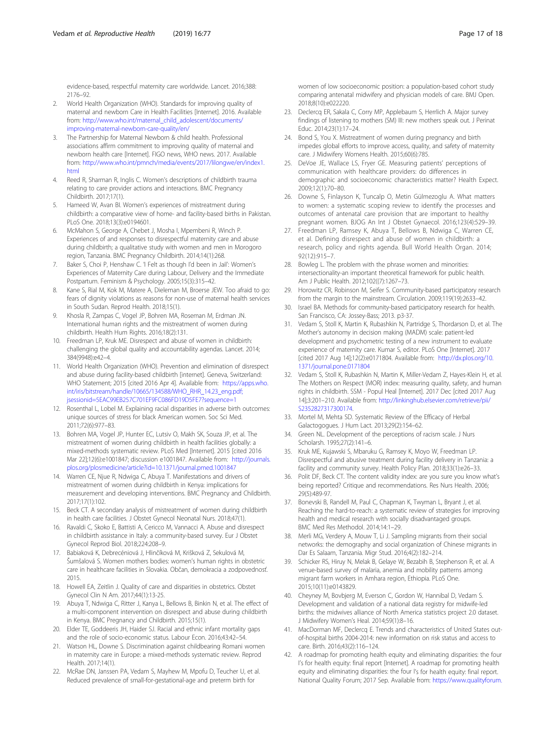<span id="page-16-0"></span>evidence-based, respectful maternity care worldwide. Lancet. 2016;388: 2176–92.

- 2. World Health Organization (WHO). Standards for improving quality of maternal and newborn Care in Health Facilities [Internet]. 2016. Available from: [http://www.who.int/maternal\\_child\\_adolescent/documents/](http://www.who.int/maternal_child_adolescent/documents/improving-maternal-newborn-care-quality/en/) [improving-maternal-newborn-care-quality/en/](http://www.who.int/maternal_child_adolescent/documents/improving-maternal-newborn-care-quality/en/)
- The Partnership for Maternal Newborn & child health. Professional associations affirm commitment to improving quality of maternal and newborn health care [Internet]. FIGO news, WHO news. 2017. Available from: [http://www.who.int/pmnch/media/events/2017/lilongwe/en/index1.](http://www.who.int/pmnch/media/events/2017/lilongwe/en/index1.html) [html](http://www.who.int/pmnch/media/events/2017/lilongwe/en/index1.html)
- 4. Reed R, Sharman R, Inglis C. Women's descriptions of childbirth trauma relating to care provider actions and interactions. BMC Pregnancy Childbirth. 2017;17(1).
- 5. Hameed W, Avan BI. Women's experiences of mistreatment during childbirth: a comparative view of home- and facility-based births in Pakistan. PLoS One. 2018;13(3):e0194601.
- 6. McMahon S, George A, Chebet J, Mosha I, Mpembeni R, Winch P. Experiences of and responses to disrespectful maternity care and abuse during childbirth; a qualitative study with women and men in Morogoro region, Tanzania. BMC Pregnancy Childbirth. 2014;14(1):268.
- Baker S, Choi P, Henshaw C. 'I Felt as though I'd been in Jail': Women's Experiences of Maternity Care during Labour, Delivery and the Immediate Postpartum. Feminism & Psychology. 2005;15(3):315–42.
- Kane S, Rial M, Kok M, Matere A, Dieleman M, Broerse JEW. Too afraid to go: fears of dignity violations as reasons for non-use of maternal health services in South Sudan. Reprod Health. 2018;15(1).
- 9. Khosla R, Zampas C, Vogel JP, Bohren MA, Roseman M, Erdman JN. International human rights and the mistreatment of women during childbirth. Health Hum Rights. 2016;18(2):131.
- 10. Freedman LP, Kruk ME. Disrespect and abuse of women in childbirth: challenging the global quality and accountability agendas. Lancet. 2014; 384(9948):e42–4.
- 11. World Health Organization (WHO). Prevention and elimination of disrespect and abuse during facility-based childbirth [internet]. Geneva, Switzerland: WHO Statement; 2015 [cited 2016 Apr 4]. Available from: [https://apps.who.](https://apps.who.int/iris/bitstream/handle/10665/134588/WHO_RHR_14.23_eng.pdf;jsessionid=5EAC99EB257C701EF9FC086FD19D5FE7?sequence=1) [int/iris/bitstream/handle/10665/134588/WHO\\_RHR\\_14.23\\_eng.pdf;](https://apps.who.int/iris/bitstream/handle/10665/134588/WHO_RHR_14.23_eng.pdf;jsessionid=5EAC99EB257C701EF9FC086FD19D5FE7?sequence=1) [jsessionid=5EAC99EB257C701EF9FC086FD19D5FE7?sequence=1](https://apps.who.int/iris/bitstream/handle/10665/134588/WHO_RHR_14.23_eng.pdf;jsessionid=5EAC99EB257C701EF9FC086FD19D5FE7?sequence=1)
- 12. Rosenthal L, Lobel M. Explaining racial disparities in adverse birth outcomes: unique sources of stress for black American women. Soc Sci Med. 2011;72(6):977–83.
- 13. Bohren MA, Vogel JP, Hunter EC, Lutsiv O, Makh SK, Souza JP, et al. The mistreatment of women during childbirth in health facilities globally: a mixed-methods systematic review. PLoS Med [Internet]. 2015 [cited 2016 Mar 22];12(6):e1001847; discussion e1001847. Available from: [http://journals.](http://journals.plos.org/plosmedicine/article?id=10.1371/journal.pmed.1001847) [plos.org/plosmedicine/article?id=10.1371/journal.pmed.1001847](http://journals.plos.org/plosmedicine/article?id=10.1371/journal.pmed.1001847)
- 14. Warren CE, Njue R, Ndwiga C, Abuya T. Manifestations and drivers of mistreatment of women during childbirth in Kenya: implications for measurement and developing interventions. BMC Pregnancy and Childbirth. 2017;17(1):102.
- 15. Beck CT. A secondary analysis of mistreatment of women during childbirth in health care facilities. J Obstet Gynecol Neonatal Nurs. 2018;47(1).
- 16. Ravaldi C, Skoko E, Battisti A, Cericco M, Vannacci A. Abuse and disrespect in childbirth assistance in Italy: a community-based survey. Eur J Obstet Gynecol Reprod Biol. 2018;224:208–9.
- 17. Babiaková K, Debrecéniová J, Hlinčíková M, Krišková Z, Sekulová M, Šumšalová S. Women mothers bodies: women's human rights in obstetric care in healthcare facilities in Slovakia. Občan, demokracia a zodpovednosť. 2015.
- 18. Howell EA, Zeitlin J. Quality of care and disparities in obstetrics. Obstet Gynecol Clin N Am. 2017;44(1):13-25.
- 19. Abuya T, Ndwiga C, Ritter J, Kanya L, Bellows B, Binkin N, et al. The effect of a multi-component intervention on disrespect and abuse during childbirth in Kenya. BMC Pregnancy and Childbirth. 2015;15(1).
- 20. Elder TE, Goddeeris JH, Haider SJ. Racial and ethnic infant mortality gaps and the role of socio-economic status. Labour Econ. 2016;43:42–54.
- 21. Watson HL, Downe S. Discrimination against childbearing Romani women in maternity care in Europe: a mixed-methods systematic review. Reprod Health. 2017;14(1).
- 22. McRae DN, Janssen PA, Vedam S, Mayhew M, Mpofu D, Teucher U, et al. Reduced prevalence of small-for-gestational-age and preterm birth for

women of low socioeconomic position: a population-based cohort study comparing antenatal midwifery and physician models of care. BMJ Open. 2018;8(10):e022220.

- 23. Declercq ER, Sakala C, Corry MP, Applebaum S, Herrlich A. Major survey findings of listening to mothers (SM) III: new mothers speak out. J Perinat Educ. 2014;23(1):17–24.
- 24. Bond S, You X. Mistreatment of women during pregnancy and birth impedes global efforts to improve access, quality, and safety of maternity care. J Midwifery Womens Health. 2015;60(6):785.
- 25. DeVoe JE, Wallace LS, Fryer GE. Measuring patients' perceptions of communication with healthcare providers: do differences in demographic and socioeconomic characteristics matter? Health Expect. 2009;12(1):70–80.
- 26. Downe S, Finlayson K, Tuncalp O, Metin Gülmezoglu A. What matters to women: a systematic scoping review to identify the processes and outcomes of antenatal care provision that are important to healthy pregnant women. BJOG An Int J Obstet Gynaecol. 2016;123(4):529–39.
- 27. Freedman LP, Ramsey K, Abuya T, Bellows B, Ndwiga C, Warren CE, et al. Defining disrespect and abuse of women in childbirth: a research, policy and rights agenda. Bull World Health Organ. 2014; 92(12):915–7.
- 28. Bowleg L. The problem with the phrase women and minorities: intersectionality-an important theoretical framework for public health. Am J Public Health. 2012;102((7):1267–73.
- 29. Horowitz CR, Robinson M, Seifer S. Community-based participatory research from the margin to the mainstream. Circulation. 2009;119(19):2633–42.
- 30. Israel BA. Methods for community-based participatory research for health. San Francisco, CA: Jossey-Bass; 2013. p3-37.
- 31. Vedam S, Stoll K, Martin K, Rubashkin N, Partridge S, Thordarson D, et al. The Mother's autonomy in decision making (MADM) scale: patient-led development and psychometric testing of a new instrument to evaluate experience of maternity care. Kumar S, editor. PLoS One [Internet]. 2017 [cited 2017 Aug 14];12(2):e0171804. Available from: [http://dx.plos.org/10.](http://dx.plos.org/10.1371/journal.pone.0171804) [1371/journal.pone.0171804](http://dx.plos.org/10.1371/journal.pone.0171804)
- 32. Vedam S, Stoll K, Rubashkin N, Martin K, Miller-Vedam Z, Hayes-Klein H, et al. The Mothers on Respect (MOR) index: measuring quality, safety, and human rights in childbirth. SSM - Popul Heal [Internet]. 2017 Dec [cited 2017 Aug 14];3:201–210. Available from: [http://linkinghub.elsevier.com/retrieve/pii/](http://linkinghub.elsevier.com/retrieve/pii/S2352827317300174) [S2352827317300174.](http://linkinghub.elsevier.com/retrieve/pii/S2352827317300174)
- 33. Mortel M, Mehta SD. Systematic Review of the Efficacy of Herbal Galactogogues. J Hum Lact. 2013;29(2):154–62.
- 34. Green NL. Development of the perceptions of racism scale. J Nurs Scholarsh. 1995;27(2):141–6.
- 35. Kruk ME, Kujawski S, Mbaruku G, Ramsey K, Moyo W, Freedman LP. Disrespectful and abusive treatment during facility delivery in Tanzania: a facility and community survey. Health Policy Plan. 2018;33(1):e26–33.
- 36. Polit DF, Beck CT. The content validity index: are you sure you know what's being reported? Critique and recommendations. Res Nurs Health. 2006; 29(5):489-97.
- 37. Bonevski B, Randell M, Paul C, Chapman K, Twyman L, Bryant J, et al. Reaching the hard-to-reach: a systematic review of strategies for improving health and medical research with socially disadvantaged groups. BMC Med Res Methodol. 2014;14:1–29.
- 38. Merli MG, Verdery A, Mouw T, Li J. Sampling migrants from their social networks: the demography and social organization of Chinese migrants in Dar Es Salaam, Tanzania. Migr Stud. 2016;4(2):182–214.
- 39. Schicker RS, Hiruy N, Melak B, Gelaye W, Bezabih B, Stephenson R, et al. A venue-based survey of malaria, anemia and mobility patterns among migrant farm workers in Amhara region, Ethiopia. PLoS One. 2015;10(11):e0143829.
- 40. Cheyney M, Bovbjerg M, Everson C, Gordon W, Hannibal D, Vedam S. Development and validation of a national data registry for midwife-led births: the midwives alliance of North America statistics project 2.0 dataset. J Midwifery Women's Heal. 2014;59(1):8–16.
- 41. MacDorman MF, Declercq E. Trends and characteristics of United States outof-hospital births 2004-2014: new information on risk status and access to care. Birth. 2016;43(2):116–124.
- 42. A roadmap for promoting health equity and eliminating disparities: the four I's for health equity: final report [Internet]. A roadmap for promoting health equity and eliminating disparities: the four I's for health equity: final report. National Quality Forum; 2017 Sep. Available from: [https://www.qualityforum.](https://www.qualityforum.org/Publications/2017/09/A_Roadmap_for_Promoting_Health_Equity_and_Eliminating_Disparities__The_Four_I_s_for_Health_Equity.aspx)